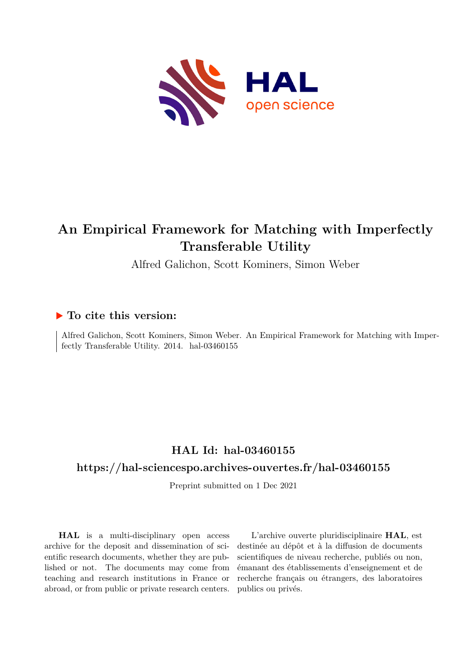

# **An Empirical Framework for Matching with Imperfectly Transferable Utility**

Alfred Galichon, Scott Kominers, Simon Weber

# **To cite this version:**

Alfred Galichon, Scott Kominers, Simon Weber. An Empirical Framework for Matching with Imperfectly Transferable Utility.  $2014.$  hal- $03460155$ 

# **HAL Id: hal-03460155**

# **<https://hal-sciencespo.archives-ouvertes.fr/hal-03460155>**

Preprint submitted on 1 Dec 2021

**HAL** is a multi-disciplinary open access archive for the deposit and dissemination of scientific research documents, whether they are published or not. The documents may come from teaching and research institutions in France or abroad, or from public or private research centers.

L'archive ouverte pluridisciplinaire **HAL**, est destinée au dépôt et à la diffusion de documents scientifiques de niveau recherche, publiés ou non, émanant des établissements d'enseignement et de recherche français ou étrangers, des laboratoires publics ou privés.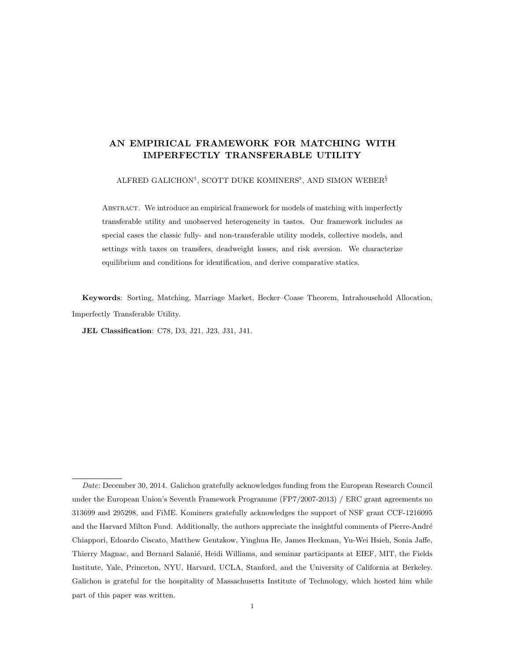# AN EMPIRICAL FRAMEWORK FOR MATCHING WITH IMPERFECTLY TRANSFERABLE UTILITY

ALFRED GALICHON<sup>†</sup>, SCOTT DUKE KOMINERS<sup>b</sup>, AND SIMON WEBER<sup>§</sup>

Abstract. We introduce an empirical framework for models of matching with imperfectly transferable utility and unobserved heterogeneity in tastes. Our framework includes as special cases the classic fully- and non-transferable utility models, collective models, and settings with taxes on transfers, deadweight losses, and risk aversion. We characterize equilibrium and conditions for identification, and derive comparative statics.

Keywords: Sorting, Matching, Marriage Market, Becker–Coase Theorem, Intrahousehold Allocation, Imperfectly Transferable Utility.

JEL Classification: C78, D3, J21, J23, J31, J41.

Date: December 30, 2014. Galichon gratefully acknowledges funding from the European Research Council under the European Union's Seventh Framework Programme (FP7/2007-2013) / ERC grant agreements no 313699 and 295298, and FiME. Kominers gratefully acknowledges the support of NSF grant CCF-1216095 and the Harvard Milton Fund. Additionally, the authors appreciate the insightful comments of Pierre-André Chiappori, Edoardo Ciscato, Matthew Gentzkow, Yinghua He, James Heckman, Yu-Wei Hsieh, Sonia Jaffe, Thierry Magnac, and Bernard Salanié, Heidi Williams, and seminar participants at EIEF, MIT, the Fields Institute, Yale, Princeton, NYU, Harvard, UCLA, Stanford, and the University of California at Berkeley. Galichon is grateful for the hospitality of Massachusetts Institute of Technology, which hosted him while part of this paper was written.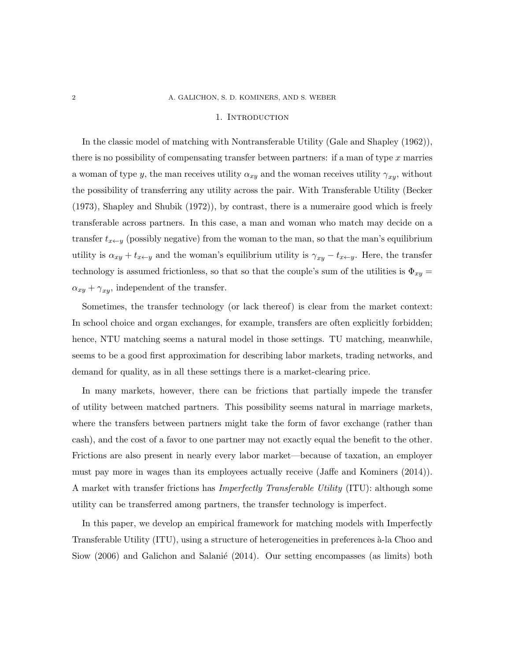#### 1. Introduction

In the classic model of matching with Nontransferable Utility (Gale and Shapley (1962)), there is no possibility of compensating transfer between partners: if a man of type  $x$  marries a woman of type y, the man receives utility  $\alpha_{xy}$  and the woman receives utility  $\gamma_{xy}$ , without the possibility of transferring any utility across the pair. With Transferable Utility (Becker (1973), Shapley and Shubik (1972)), by contrast, there is a numeraire good which is freely transferable across partners. In this case, a man and woman who match may decide on a transfer  $t_{x\leftarrow y}$  (possibly negative) from the woman to the man, so that the man's equilibrium utility is  $\alpha_{xy} + t_{x \leftarrow y}$  and the woman's equilibrium utility is  $\gamma_{xy} - t_{x \leftarrow y}$ . Here, the transfer technology is assumed frictionless, so that so that the couple's sum of the utilities is  $\Phi_{xy}$  =  $\alpha_{xy} + \gamma_{xy}$ , independent of the transfer.

Sometimes, the transfer technology (or lack thereof) is clear from the market context: In school choice and organ exchanges, for example, transfers are often explicitly forbidden; hence, NTU matching seems a natural model in those settings. TU matching, meanwhile, seems to be a good first approximation for describing labor markets, trading networks, and demand for quality, as in all these settings there is a market-clearing price.

In many markets, however, there can be frictions that partially impede the transfer of utility between matched partners. This possibility seems natural in marriage markets, where the transfers between partners might take the form of favor exchange (rather than cash), and the cost of a favor to one partner may not exactly equal the benefit to the other. Frictions are also present in nearly every labor market—because of taxation, an employer must pay more in wages than its employees actually receive (Jaffe and Kominers (2014)). A market with transfer frictions has Imperfectly Transferable Utility (ITU): although some utility can be transferred among partners, the transfer technology is imperfect.

In this paper, we develop an empirical framework for matching models with Imperfectly Transferable Utility (ITU), using a structure of heterogeneities in preferences à-la Choo and Siow  $(2006)$  and Galichon and Salanié  $(2014)$ . Our setting encompasses (as limits) both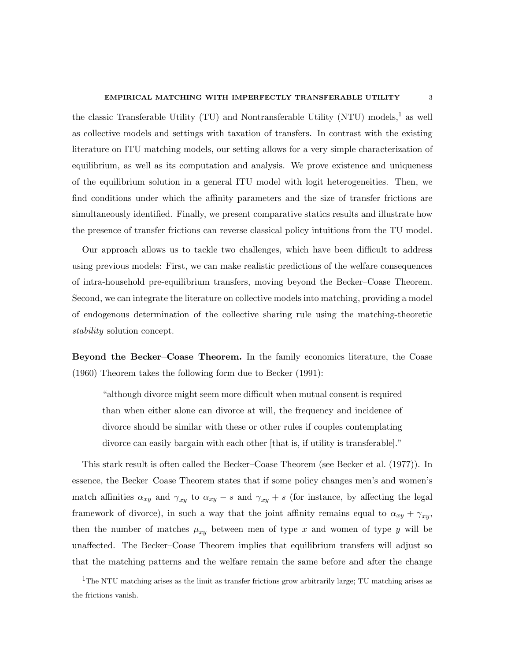the classic Transferable Utility (TU) and Nontransferable Utility (NTU) models,<sup>1</sup> as well as collective models and settings with taxation of transfers. In contrast with the existing literature on ITU matching models, our setting allows for a very simple characterization of equilibrium, as well as its computation and analysis. We prove existence and uniqueness of the equilibrium solution in a general ITU model with logit heterogeneities. Then, we find conditions under which the affinity parameters and the size of transfer frictions are simultaneously identified. Finally, we present comparative statics results and illustrate how the presence of transfer frictions can reverse classical policy intuitions from the TU model.

Our approach allows us to tackle two challenges, which have been difficult to address using previous models: First, we can make realistic predictions of the welfare consequences of intra-household pre-equilibrium transfers, moving beyond the Becker–Coase Theorem. Second, we can integrate the literature on collective models into matching, providing a model of endogenous determination of the collective sharing rule using the matching-theoretic stability solution concept.

Beyond the Becker–Coase Theorem. In the family economics literature, the Coase (1960) Theorem takes the following form due to Becker (1991):

"although divorce might seem more difficult when mutual consent is required than when either alone can divorce at will, the frequency and incidence of divorce should be similar with these or other rules if couples contemplating divorce can easily bargain with each other [that is, if utility is transferable]."

This stark result is often called the Becker–Coase Theorem (see Becker et al. (1977)). In essence, the Becker–Coase Theorem states that if some policy changes men's and women's match affinities  $\alpha_{xy}$  and  $\gamma_{xy}$  to  $\alpha_{xy} - s$  and  $\gamma_{xy} + s$  (for instance, by affecting the legal framework of divorce), in such a way that the joint affinity remains equal to  $\alpha_{xy} + \gamma_{xy}$ , then the number of matches  $\mu_{xy}$  between men of type x and women of type y will be unaffected. The Becker–Coase Theorem implies that equilibrium transfers will adjust so that the matching patterns and the welfare remain the same before and after the change

 $1$ The NTU matching arises as the limit as transfer frictions grow arbitrarily large; TU matching arises as the frictions vanish.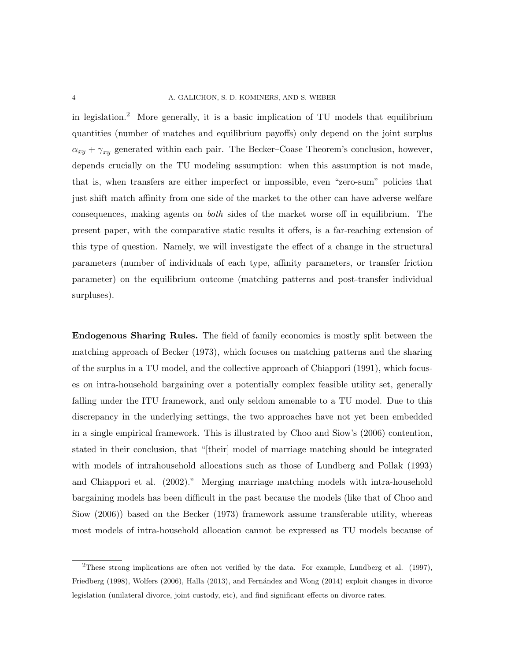in legislation.<sup>2</sup> More generally, it is a basic implication of TU models that equilibrium quantities (number of matches and equilibrium payoffs) only depend on the joint surplus  $\alpha_{xy} + \gamma_{xy}$  generated within each pair. The Becker–Coase Theorem's conclusion, however, depends crucially on the TU modeling assumption: when this assumption is not made, that is, when transfers are either imperfect or impossible, even "zero-sum" policies that just shift match affinity from one side of the market to the other can have adverse welfare consequences, making agents on both sides of the market worse off in equilibrium. The present paper, with the comparative static results it offers, is a far-reaching extension of this type of question. Namely, we will investigate the effect of a change in the structural parameters (number of individuals of each type, affinity parameters, or transfer friction parameter) on the equilibrium outcome (matching patterns and post-transfer individual surpluses).

Endogenous Sharing Rules. The field of family economics is mostly split between the matching approach of Becker (1973), which focuses on matching patterns and the sharing of the surplus in a TU model, and the collective approach of Chiappori (1991), which focuses on intra-household bargaining over a potentially complex feasible utility set, generally falling under the ITU framework, and only seldom amenable to a TU model. Due to this discrepancy in the underlying settings, the two approaches have not yet been embedded in a single empirical framework. This is illustrated by Choo and Siow's (2006) contention, stated in their conclusion, that "[their] model of marriage matching should be integrated with models of intrahousehold allocations such as those of Lundberg and Pollak (1993) and Chiappori et al. (2002)." Merging marriage matching models with intra-household bargaining models has been difficult in the past because the models (like that of Choo and Siow (2006)) based on the Becker (1973) framework assume transferable utility, whereas most models of intra-household allocation cannot be expressed as TU models because of

<sup>2</sup>These strong implications are often not verified by the data. For example, Lundberg et al. (1997), Friedberg (1998), Wolfers (2006), Halla (2013), and Fernández and Wong (2014) exploit changes in divorce legislation (unilateral divorce, joint custody, etc), and find significant effects on divorce rates.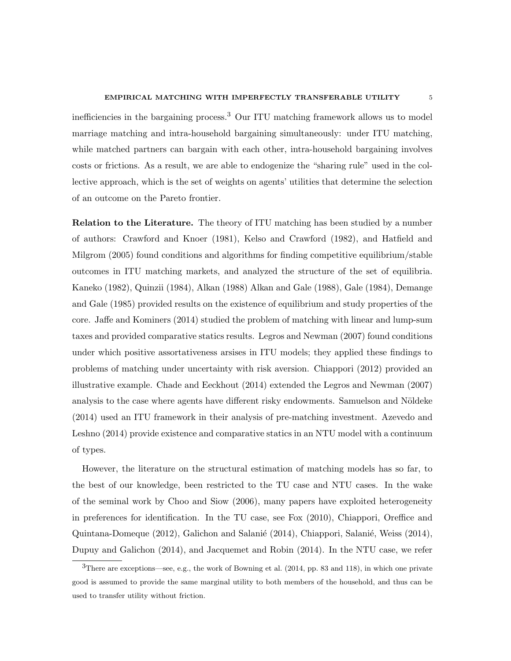#### EMPIRICAL MATCHING WITH IMPERFECTLY TRANSFERABLE UTILITY 5

inefficiencies in the bargaining process.<sup>3</sup> Our ITU matching framework allows us to model marriage matching and intra-household bargaining simultaneously: under ITU matching, while matched partners can bargain with each other, intra-household bargaining involves costs or frictions. As a result, we are able to endogenize the "sharing rule" used in the collective approach, which is the set of weights on agents' utilities that determine the selection of an outcome on the Pareto frontier.

Relation to the Literature. The theory of ITU matching has been studied by a number of authors: Crawford and Knoer (1981), Kelso and Crawford (1982), and Hatfield and Milgrom (2005) found conditions and algorithms for finding competitive equilibrium/stable outcomes in ITU matching markets, and analyzed the structure of the set of equilibria. Kaneko (1982), Quinzii (1984), Alkan (1988) Alkan and Gale (1988), Gale (1984), Demange and Gale (1985) provided results on the existence of equilibrium and study properties of the core. Jaffe and Kominers (2014) studied the problem of matching with linear and lump-sum taxes and provided comparative statics results. Legros and Newman (2007) found conditions under which positive assortativeness arsises in ITU models; they applied these findings to problems of matching under uncertainty with risk aversion. Chiappori (2012) provided an illustrative example. Chade and Eeckhout (2014) extended the Legros and Newman (2007) analysis to the case where agents have different risky endowments. Samuelson and Nöldeke (2014) used an ITU framework in their analysis of pre-matching investment. Azevedo and Leshno (2014) provide existence and comparative statics in an NTU model with a continuum of types.

However, the literature on the structural estimation of matching models has so far, to the best of our knowledge, been restricted to the TU case and NTU cases. In the wake of the seminal work by Choo and Siow (2006), many papers have exploited heterogeneity in preferences for identification. In the TU case, see Fox (2010), Chiappori, Oreffice and Quintana-Domeque (2012), Galichon and Salanié (2014), Chiappori, Salanié, Weiss (2014), Dupuy and Galichon (2014), and Jacquemet and Robin (2014). In the NTU case, we refer

<sup>3</sup>There are exceptions—see, e.g., the work of Bowning et al. (2014, pp. 83 and 118), in which one private good is assumed to provide the same marginal utility to both members of the household, and thus can be used to transfer utility without friction.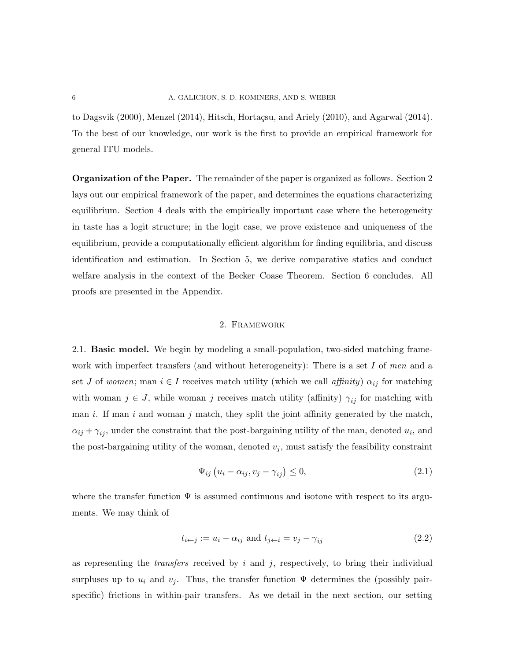to Dagsvik (2000), Menzel (2014), Hitsch, Hortaçsu, and Ariely (2010), and Agarwal (2014). To the best of our knowledge, our work is the first to provide an empirical framework for general ITU models.

Organization of the Paper. The remainder of the paper is organized as follows. Section 2 lays out our empirical framework of the paper, and determines the equations characterizing equilibrium. Section 4 deals with the empirically important case where the heterogeneity in taste has a logit structure; in the logit case, we prove existence and uniqueness of the equilibrium, provide a computationally efficient algorithm for finding equilibria, and discuss identification and estimation. In Section 5, we derive comparative statics and conduct welfare analysis in the context of the Becker–Coase Theorem. Section 6 concludes. All proofs are presented in the Appendix.

## 2. Framework

2.1. Basic model. We begin by modeling a small-population, two-sided matching framework with imperfect transfers (and without heterogeneity): There is a set  $I$  of men and a set J of women; man  $i \in I$  receives match utility (which we call affinity)  $\alpha_{ij}$  for matching with woman  $j \in J$ , while woman j receives match utility (affinity)  $\gamma_{ij}$  for matching with man  $i$ . If man  $i$  and woman  $j$  match, they split the joint affinity generated by the match,  $\alpha_{ij} + \gamma_{ij}$ , under the constraint that the post-bargaining utility of the man, denoted  $u_i$ , and the post-bargaining utility of the woman, denoted  $v_j$ , must satisfy the feasibility constraint

$$
\Psi_{ij} \left( u_i - \alpha_{ij}, v_j - \gamma_{ij} \right) \leq 0, \tag{2.1}
$$

where the transfer function  $\Psi$  is assumed continuous and isotone with respect to its arguments. We may think of

$$
t_{i \leftarrow j} := u_i - \alpha_{ij} \text{ and } t_{j \leftarrow i} = v_j - \gamma_{ij}
$$
\n
$$
(2.2)
$$

as representing the *transfers* received by  $i$  and  $j$ , respectively, to bring their individual surpluses up to  $u_i$  and  $v_j$ . Thus, the transfer function  $\Psi$  determines the (possibly pairspecific) frictions in within-pair transfers. As we detail in the next section, our setting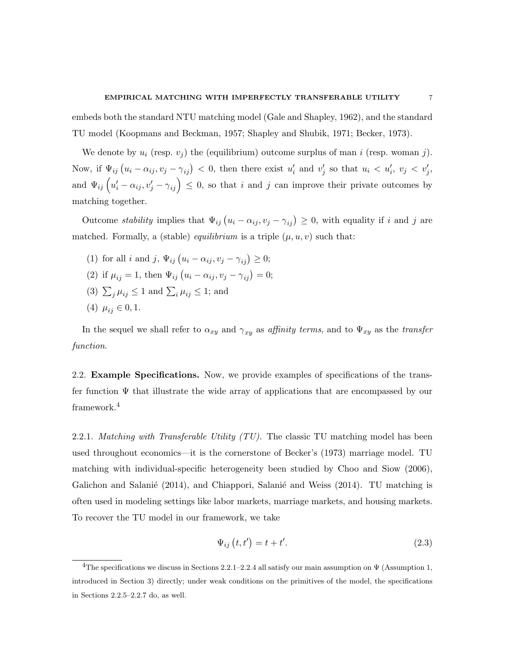embeds both the standard NTU matching model (Gale and Shapley, 1962), and the standard TU model (Koopmans and Beckman, 1957; Shapley and Shubik, 1971; Becker, 1973).

We denote by  $u_i$  (resp.  $v_j$ ) the (equilibrium) outcome surplus of man i (resp. woman j). Now, if  $\Psi_{ij}(u_i - \alpha_{ij}, v_j - \gamma_{ij}) < 0$ , then there exist  $u'_i$  and  $v'_j$  so that  $u_i < u'_i$ ,  $v_j < v'_j$ , and  $\Psi_{ij}$   $\left(u'_i - \alpha_{ij}, v'_j - \gamma_{ij}\right) \leq 0$ , so that i and j can improve their private outcomes by matching together.

Outcome *stability* implies that  $\Psi_{ij}(u_i - \alpha_{ij}, v_j - \gamma_{ij}) \geq 0$ , with equality if i and j are matched. Formally, a (stable) *equilibrium* is a triple  $(\mu, u, v)$  such that:

(1) for all *i* and *j*,  $\Psi_{ij} (u_i - \alpha_{ij}, v_j - \gamma_{ij}) \geq 0;$ (2) if  $\mu_{ij} = 1$ , then  $\Psi_{ij} (u_i - \alpha_{ij}, v_j - \gamma_{ij}) = 0$ ; (3)  $\sum_j \mu_{ij} \leq 1$  and  $\sum_i \mu_{ij} \leq 1$ ; and (4)  $\mu_{ij} \in 0, 1$ .

In the sequel we shall refer to  $\alpha_{xy}$  and  $\gamma_{xy}$  as affinity terms, and to  $\Psi_{xy}$  as the transfer function.

2.2. Example Specifications. Now, we provide examples of specifications of the transfer function  $\Psi$  that illustrate the wide array of applications that are encompassed by our framework.<sup>4</sup>

2.2.1. Matching with Transferable Utility  $(TU)$ . The classic TU matching model has been used throughout economics—it is the cornerstone of Becker's (1973) marriage model. TU matching with individual-specific heterogeneity been studied by Choo and Siow (2006), Galichon and Salanié  $(2014)$ , and Chiappori, Salanié and Weiss  $(2014)$ . TU matching is often used in modeling settings like labor markets, marriage markets, and housing markets. To recover the TU model in our framework, we take

$$
\Psi_{ij}\left(t,t'\right) = t + t'.\tag{2.3}
$$

<sup>&</sup>lt;sup>4</sup>The specifications we discuss in Sections 2.2.1–2.2.4 all satisfy our main assumption on  $\Psi$  (Assumption 1, introduced in Section 3) directly; under weak conditions on the primitives of the model, the specifications in Sections 2.2.5–2.2.7 do, as well.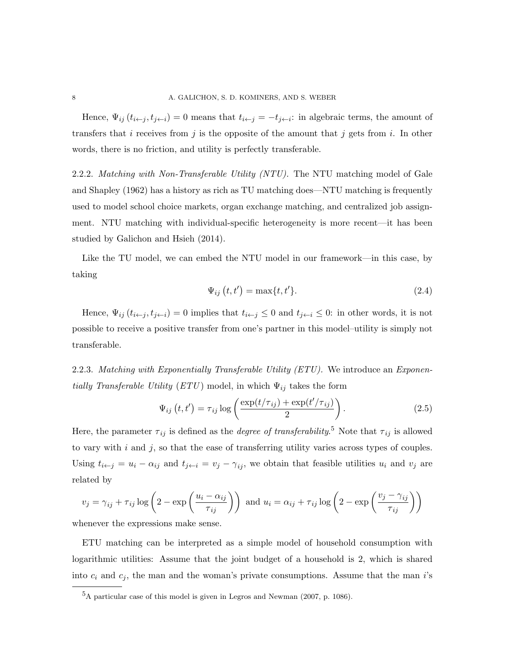Hence,  $\Psi_{ij}(t_{i \leftarrow j}, t_{j \leftarrow i}) = 0$  means that  $t_{i \leftarrow j} = -t_{j \leftarrow i}$ : in algebraic terms, the amount of transfers that i receives from j is the opposite of the amount that j gets from i. In other words, there is no friction, and utility is perfectly transferable.

2.2.2. Matching with Non-Transferable Utility (NTU). The NTU matching model of Gale and Shapley (1962) has a history as rich as TU matching does—NTU matching is frequently used to model school choice markets, organ exchange matching, and centralized job assignment. NTU matching with individual-specific heterogeneity is more recent—it has been studied by Galichon and Hsieh (2014).

Like the TU model, we can embed the NTU model in our framework—in this case, by taking

$$
\Psi_{ij}\left(t,t'\right) = \max\{t,t'\}.\tag{2.4}
$$

Hence,  $\Psi_{ij}$   $(t_{i \leftarrow j}, t_{j \leftarrow i}) = 0$  implies that  $t_{i \leftarrow j} \leq 0$  and  $t_{j \leftarrow i} \leq 0$ : in other words, it is not possible to receive a positive transfer from one's partner in this model–utility is simply not transferable.

2.2.3. Matching with Exponentially Transferable Utility (ETU). We introduce an Exponentially Transferable Utility (ETU) model, in which  $\Psi_{ij}$  takes the form

$$
\Psi_{ij}\left(t,t'\right) = \tau_{ij}\log\left(\frac{\exp(t/\tau_{ij}) + \exp(t'/\tau_{ij})}{2}\right). \tag{2.5}
$$

Here, the parameter  $\tau_{ij}$  is defined as the *degree of transferability*.<sup>5</sup> Note that  $\tau_{ij}$  is allowed to vary with  $i$  and  $j$ , so that the ease of transferring utility varies across types of couples. Using  $t_{i \leftarrow j} = u_i - \alpha_{ij}$  and  $t_{j \leftarrow i} = v_j - \gamma_{ij}$ , we obtain that feasible utilities  $u_i$  and  $v_j$  are related by

$$
v_j = \gamma_{ij} + \tau_{ij} \log \left( 2 - \exp \left( \frac{u_i - \alpha_{ij}}{\tau_{ij}} \right) \right) \text{ and } u_i = \alpha_{ij} + \tau_{ij} \log \left( 2 - \exp \left( \frac{v_j - \gamma_{ij}}{\tau_{ij}} \right) \right)
$$

whenever the expressions make sense.

ETU matching can be interpreted as a simple model of household consumption with logarithmic utilities: Assume that the joint budget of a household is 2, which is shared into  $c_i$  and  $c_j$ , the man and the woman's private consumptions. Assume that the man i's

<sup>5</sup>A particular case of this model is given in Legros and Newman (2007, p. 1086).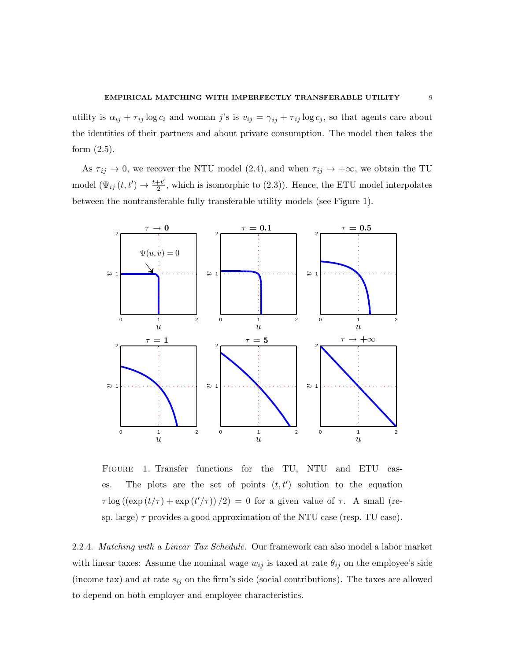utility is  $\alpha_{ij} + \tau_{ij} \log c_i$  and woman j's is  $v_{ij} = \gamma_{ij} + \tau_{ij} \log c_j$ , so that agents care about the identities of their partners and about private consumption. The model then takes the form (2.5).

As  $\tau_{ij} \to 0$ , we recover the NTU model (2.4), and when  $\tau_{ij} \to +\infty$ , we obtain the TU model  $(\Psi_{ij}(t, t') \rightarrow \frac{t+t'}{2})$  $\frac{2+1}{2}$ , which is isomorphic to (2.3)). Hence, the ETU model interpolates between the nontransferable fully transferable utility models (see Figure 1).



Figure 1. Transfer functions for the TU, NTU and ETU cases. The plots are the set of points  $(t, t')$  solution to the equation  $\tau \log((\exp(t/\tau) + \exp(t'/\tau))/2) = 0$  for a given value of  $\tau$ . A small (resp. large)  $\tau$  provides a good approximation of the NTU case (resp. TU case).

2.2.4. Matching with a Linear Tax Schedule. Our framework can also model a labor market with linear taxes: Assume the nominal wage  $w_{ij}$  is taxed at rate  $\theta_{ij}$  on the employee's side (income tax) and at rate  $s_{ij}$  on the firm's side (social contributions). The taxes are allowed to depend on both employer and employee characteristics.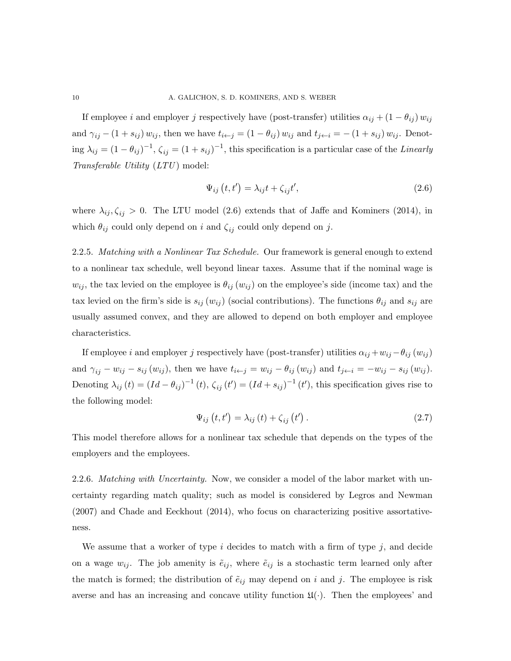If employee i and employer j respectively have (post-transfer) utilities  $\alpha_{ij} + (1 - \theta_{ij}) w_{ij}$ and  $\gamma_{ij} - (1 + s_{ij}) w_{ij}$ , then we have  $t_{i \leftarrow j} = (1 - \theta_{ij}) w_{ij}$  and  $t_{j \leftarrow i} = -(1 + s_{ij}) w_{ij}$ . Denoting  $\lambda_{ij} = (1 - \theta_{ij})^{-1}$ ,  $\zeta_{ij} = (1 + s_{ij})^{-1}$ , this specification is a particular case of the Linearly  $Transferable\ Utility(LTU)\model:$ 

$$
\Psi_{ij}\left(t,t'\right) = \lambda_{ij}t + \zeta_{ij}t',\tag{2.6}
$$

where  $\lambda_{ij}, \zeta_{ij} > 0$ . The LTU model (2.6) extends that of Jaffe and Kominers (2014), in which  $\theta_{ij}$  could only depend on i and  $\zeta_{ij}$  could only depend on j.

2.2.5. Matching with a Nonlinear Tax Schedule. Our framework is general enough to extend to a nonlinear tax schedule, well beyond linear taxes. Assume that if the nominal wage is  $w_{ij}$ , the tax levied on the employee is  $\theta_{ij}(w_{ij})$  on the employee's side (income tax) and the tax levied on the firm's side is  $s_{ij} (w_{ij})$  (social contributions). The functions  $\theta_{ij}$  and  $s_{ij}$  are usually assumed convex, and they are allowed to depend on both employer and employee characteristics.

If employee i and employer j respectively have (post-transfer) utilities  $\alpha_{ij} + w_{ij} - \theta_{ij} (w_{ij})$ and  $\gamma_{ij} - w_{ij} - s_{ij} (w_{ij})$ , then we have  $t_{i \leftarrow j} = w_{ij} - \theta_{ij} (w_{ij})$  and  $t_{j \leftarrow i} = -w_{ij} - s_{ij} (w_{ij})$ . Denoting  $\lambda_{ij}(t) = (Id - \theta_{ij})^{-1}(t)$ ,  $\zeta_{ij}(t') = (Id + s_{ij})^{-1}(t')$ , this specification gives rise to the following model:

$$
\Psi_{ij}(t, t') = \lambda_{ij}(t) + \zeta_{ij}(t'). \qquad (2.7)
$$

This model therefore allows for a nonlinear tax schedule that depends on the types of the employers and the employees.

2.2.6. *Matching with Uncertainty*. Now, we consider a model of the labor market with uncertainty regarding match quality; such as model is considered by Legros and Newman (2007) and Chade and Eeckhout (2014), who focus on characterizing positive assortativeness.

We assume that a worker of type  $i$  decides to match with a firm of type  $j$ , and decide on a wage  $w_{ij}$ . The job amenity is  $\tilde{e}_{ij}$ , where  $\tilde{e}_{ij}$  is a stochastic term learned only after the match is formed; the distribution of  $\tilde{e}_{ij}$  may depend on i and j. The employee is risk averse and has an increasing and concave utility function  $\mathfrak{U}(\cdot)$ . Then the employees' and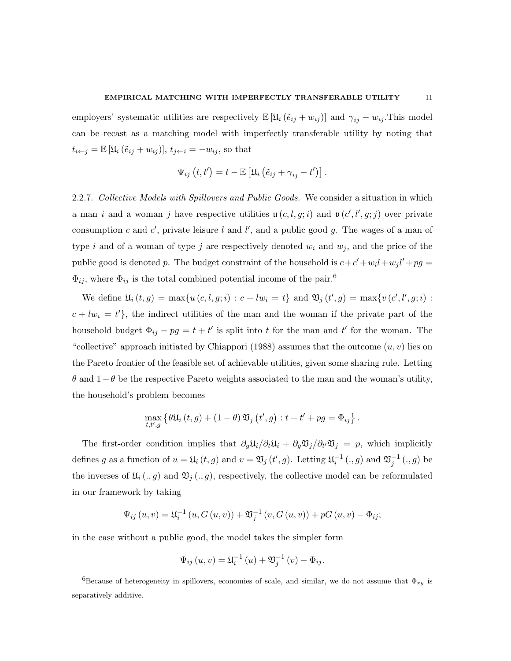#### EMPIRICAL MATCHING WITH IMPERFECTLY TRANSFERABLE UTILITY 11

employers' systematic utilities are respectively  $\mathbb{E} [\mathfrak{U}_i (\tilde{e}_{ij} + w_{ij})]$  and  $\gamma_{ij} - w_{ij}$ . This model can be recast as a matching model with imperfectly transferable utility by noting that  $t_{i \leftarrow j} = \mathbb{E} [\mathfrak{U}_i (\tilde{e}_{ij} + w_{ij})], t_{j \leftarrow i} = -w_{ij}$ , so that

$$
\Psi_{ij}(t,t') = t - \mathbb{E}\left[\mathfrak{U}_i\left(\tilde{e}_{ij} + \gamma_{ij} - t'\right)\right].
$$

2.2.7. Collective Models with Spillovers and Public Goods. We consider a situation in which a man i and a woman j have respective utilities  $\mathfrak{u}(c, l, g; i)$  and  $\mathfrak{v}(c', l', g; j)$  over private consumption c and c', private leisure l and l', and a public good g. The wages of a man of type i and of a woman of type j are respectively denoted  $w_i$  and  $w_j$ , and the price of the public good is denoted p. The budget constraint of the household is  $c + c' + w_i l + w_j l' + pg =$  $\Phi_{ij},$  where  $\Phi_{ij}$  is the total combined potential income of the pair.<sup>6</sup>

We define  $\mathfrak{U}_i(t,g) = \max\{u(c, l, g; i) : c + lw_i = t\}$  and  $\mathfrak{V}_j(t', g) = \max\{v(c', l', g; i) : c + lw_i = t\}$  $c + lw_i = t'$ , the indirect utilities of the man and the woman if the private part of the household budget  $\Phi_{ij} - pg = t + t'$  is split into t for the man and t' for the woman. The "collective" approach initiated by Chiappori (1988) assumes that the outcome  $(u, v)$  lies on the Pareto frontier of the feasible set of achievable utilities, given some sharing rule. Letting  $\theta$  and  $1-\theta$  be the respective Pareto weights associated to the man and the woman's utility, the household's problem becomes

$$
\max_{t,t',g}\left\{\theta\mathfrak{U}_{i}\left(t,g\right)+\left(1-\theta\right)\mathfrak{V}_{j}\left(t',g\right):t+t'+pg=\Phi_{ij}\right\}.
$$

The first-order condition implies that  $\partial_g \mathfrak{U}_i / \partial_t \mathfrak{U}_i + \partial_g \mathfrak{V}_j / \partial_{t'} \mathfrak{V}_j = p$ , which implicitly defines g as a function of  $u = \mathfrak{U}_i(t,g)$  and  $v = \mathfrak{V}_j(t',g)$ . Letting  $\mathfrak{U}_i^{-1}(.,g)$  and  $\mathfrak{V}_j^{-1}(.,g)$  be the inverses of  $\mathfrak{U}_i(.,g)$  and  $\mathfrak{V}_j(.,g)$ , respectively, the collective model can be reformulated in our framework by taking

$$
\Psi_{ij}(u, v) = \mathfrak{U}_i^{-1}(u, G(u, v)) + \mathfrak{V}_j^{-1}(v, G(u, v)) + pG(u, v) - \Phi_{ij};
$$

in the case without a public good, the model takes the simpler form

$$
\Psi_{ij}(u, v) = \mathfrak{U}_i^{-1}(u) + \mathfrak{V}_j^{-1}(v) - \Phi_{ij}.
$$

<sup>&</sup>lt;sup>6</sup>Because of heterogeneity in spillovers, economies of scale, and similar, we do not assume that  $\Phi_{xy}$  is separatively additive.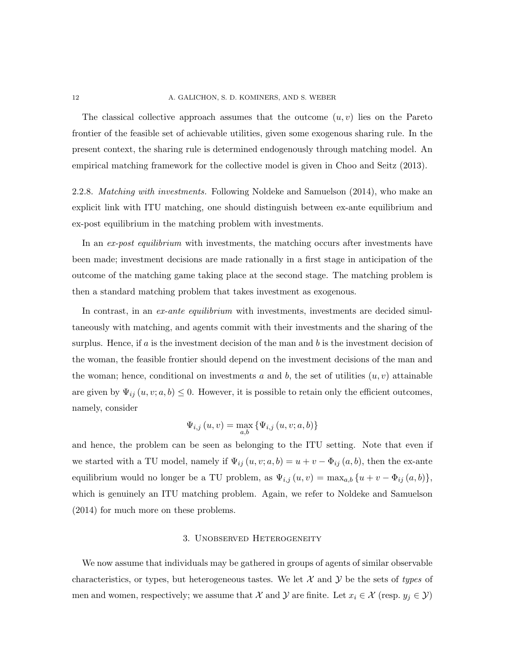The classical collective approach assumes that the outcome  $(u, v)$  lies on the Pareto frontier of the feasible set of achievable utilities, given some exogenous sharing rule. In the present context, the sharing rule is determined endogenously through matching model. An empirical matching framework for the collective model is given in Choo and Seitz (2013).

2.2.8. Matching with investments. Following Noldeke and Samuelson (2014), who make an explicit link with ITU matching, one should distinguish between ex-ante equilibrium and ex-post equilibrium in the matching problem with investments.

In an ex-post equilibrium with investments, the matching occurs after investments have been made; investment decisions are made rationally in a first stage in anticipation of the outcome of the matching game taking place at the second stage. The matching problem is then a standard matching problem that takes investment as exogenous.

In contrast, in an ex-ante equilibrium with investments, investments are decided simultaneously with matching, and agents commit with their investments and the sharing of the surplus. Hence, if  $a$  is the investment decision of the man and  $b$  is the investment decision of the woman, the feasible frontier should depend on the investment decisions of the man and the woman; hence, conditional on investments a and b, the set of utilities  $(u, v)$  attainable are given by  $\Psi_{ij}(u, v; a, b) \leq 0$ . However, it is possible to retain only the efficient outcomes, namely, consider

$$
\Psi_{i,j}\left(u,v\right) = \max_{a,b} \left\{\Psi_{i,j}\left(u,v;a,b\right)\right\}
$$

and hence, the problem can be seen as belonging to the ITU setting. Note that even if we started with a TU model, namely if  $\Psi_{ij}(u, v; a, b) = u + v - \Phi_{ij}(a, b)$ , then the ex-ante equilibrium would no longer be a TU problem, as  $\Psi_{i,j}(u, v) = \max_{a,b} \{u + v - \Phi_{ij}(a, b)\},\$ which is genuinely an ITU matching problem. Again, we refer to Noldeke and Samuelson (2014) for much more on these problems.

### 3. Unobserved Heterogeneity

We now assume that individuals may be gathered in groups of agents of similar observable characteristics, or types, but heterogeneous tastes. We let  $\mathcal X$  and  $\mathcal Y$  be the sets of types of men and women, respectively; we assume that X and Y are finite. Let  $x_i \in \mathcal{X}$  (resp.  $y_j \in \mathcal{Y}$ )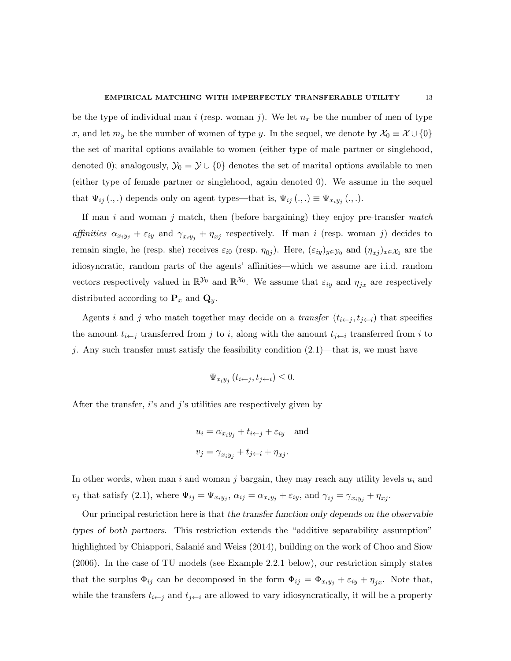be the type of individual man i (resp. woman j). We let  $n_x$  be the number of men of type x, and let  $m_y$  be the number of women of type y. In the sequel, we denote by  $\mathcal{X}_0 \equiv \mathcal{X} \cup \{0\}$ the set of marital options available to women (either type of male partner or singlehood, denoted 0); analogously,  $\mathcal{Y}_0 = \mathcal{Y} \cup \{0\}$  denotes the set of marital options available to men (either type of female partner or singlehood, again denoted 0). We assume in the sequel that  $\Psi_{ij}(.,.)$  depends only on agent types—that is,  $\Psi_{ij}(.,.) \equiv \Psi_{x_i y_j}(.,.).$ 

If man i and woman j match, then (before bargaining) they enjoy pre-transfer match affinities  $\alpha_{x_iy_j} + \varepsilon_{iy}$  and  $\gamma_{x_iy_j} + \eta_{x_j}$  respectively. If man i (resp. woman j) decides to remain single, he (resp. she) receives  $\varepsilon_{i0}$  (resp.  $\eta_{0j}$ ). Here,  $(\varepsilon_{iy})_{y\in\mathcal{Y}_0}$  and  $(\eta_{xj})_{x\in\mathcal{X}_0}$  are the idiosyncratic, random parts of the agents' affinities—which we assume are i.i.d. random vectors respectively valued in  $\mathbb{R}^{y_0}$  and  $\mathbb{R}^{x_0}$ . We assume that  $\varepsilon_{iy}$  and  $\eta_{jx}$  are respectively distributed according to  $\mathbf{P}_x$  and  $\mathbf{Q}_y$ .

Agents i and j who match together may decide on a transfer  $(t_{i \leftarrow j}, t_{j \leftarrow i})$  that specifies the amount  $t_{i \leftarrow j}$  transferred from j to i, along with the amount  $t_{j \leftarrow i}$  transferred from i to j. Any such transfer must satisfy the feasibility condition  $(2.1)$ —that is, we must have

$$
\Psi_{x_i y_j} (t_{i \leftarrow j}, t_{j \leftarrow i}) \leq 0.
$$

After the transfer, i's and j's utilities are respectively given by

$$
u_i = \alpha_{x_i y_j} + t_{i \leftarrow j} + \varepsilon_{iy} \text{ and}
$$
  

$$
v_j = \gamma_{x_i y_j} + t_{j \leftarrow i} + \eta_{xj}.
$$

In other words, when man i and woman j bargain, they may reach any utility levels  $u_i$  and  $v_j$  that satisfy (2.1), where  $\Psi_{ij} = \Psi_{x_i y_j}$ ,  $\alpha_{ij} = \alpha_{x_i y_j} + \varepsilon_{iy}$ , and  $\gamma_{ij} = \gamma_{x_i y_j} + \eta_{xj}$ .

Our principal restriction here is that the transfer function only depends on the observable types of both partners. This restriction extends the "additive separability assumption" highlighted by Chiappori, Salanié and Weiss (2014), building on the work of Choo and Siow (2006). In the case of TU models (see Example 2.2.1 below), our restriction simply states that the surplus  $\Phi_{ij}$  can be decomposed in the form  $\Phi_{ij} = \Phi_{x_i y_j} + \varepsilon_{iy} + \eta_{jx}$ . Note that, while the transfers  $t_{i\leftarrow j}$  and  $t_{j\leftarrow i}$  are allowed to vary idiosyncratically, it will be a property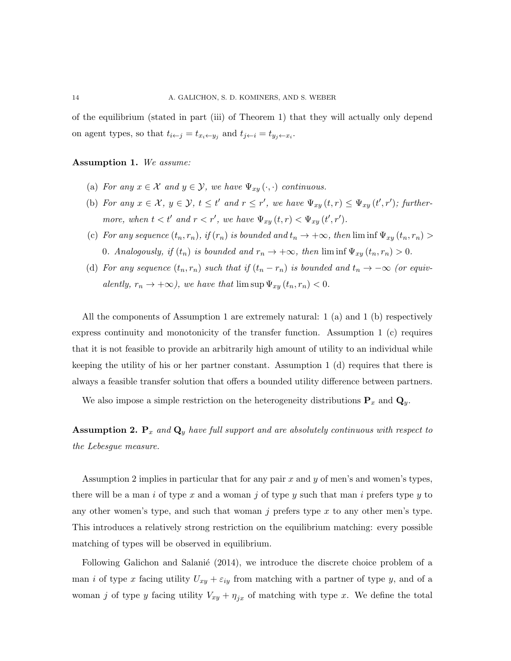of the equilibrium (stated in part (iii) of Theorem 1) that they will actually only depend on agent types, so that  $t_{i \leftarrow j} = t_{x_i \leftarrow y_j}$  and  $t_{j \leftarrow i} = t_{y_j \leftarrow x_i}$ .

#### Assumption 1. We assume:

- (a) For any  $x \in \mathcal{X}$  and  $y \in \mathcal{Y}$ , we have  $\Psi_{xy}(\cdot, \cdot)$  continuous.
- (b) For any  $x \in \mathcal{X}$ ,  $y \in \mathcal{Y}$ ,  $t \leq t'$  and  $r \leq r'$ , we have  $\Psi_{xy}(t,r) \leq \Psi_{xy}(t',r')$ ; furthermore, when  $t < t'$  and  $r < r'$ , we have  $\Psi_{xy}(t, r) < \Psi_{xy}(t', r')$ .
- (c) For any sequence  $(t_n, r_n)$ , if  $(r_n)$  is bounded and  $t_n \to +\infty$ , then  $\liminf \Psi_{xy}(t_n, r_n) >$ 0. Analogously, if  $(t_n)$  is bounded and  $r_n \to +\infty$ , then  $\liminf \Psi_{xy}(t_n, r_n) > 0$ .
- (d) For any sequence  $(t_n, r_n)$  such that if  $(t_n r_n)$  is bounded and  $t_n \to -\infty$  (or equivalently,  $r_n \to +\infty$ ), we have that  $\limsup \Psi_{xy}(t_n, r_n) < 0$ .

All the components of Assumption 1 are extremely natural: 1 (a) and 1 (b) respectively express continuity and monotonicity of the transfer function. Assumption 1 (c) requires that it is not feasible to provide an arbitrarily high amount of utility to an individual while keeping the utility of his or her partner constant. Assumption 1 (d) requires that there is always a feasible transfer solution that offers a bounded utility difference between partners.

We also impose a simple restriction on the heterogeneity distributions  $P_x$  and  $Q_y$ .

**Assumption 2.**  $P_x$  and  $Q_y$  have full support and are absolutely continuous with respect to the Lebesgue measure.

Assumption 2 implies in particular that for any pair  $x$  and  $y$  of men's and women's types, there will be a man i of type x and a woman j of type y such that man i prefers type y to any other women's type, and such that woman  $j$  prefers type  $x$  to any other men's type. This introduces a relatively strong restriction on the equilibrium matching: every possible matching of types will be observed in equilibrium.

Following Galichon and Salanie  $(2014)$ , we introduce the discrete choice problem of a man *i* of type x facing utility  $U_{xy} + \varepsilon_{iy}$  from matching with a partner of type y, and of a woman j of type y facing utility  $V_{xy} + \eta_{jx}$  of matching with type x. We define the total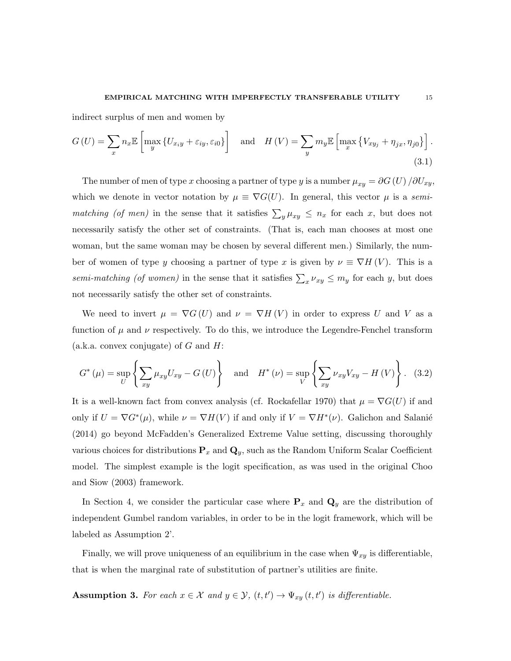indirect surplus of men and women by

$$
G\left(U\right) = \sum_{x} n_{x} \mathbb{E}\left[\max_{y} \left\{ U_{x_{i}y} + \varepsilon_{iy}, \varepsilon_{i0} \right\} \right] \quad \text{and} \quad H\left(V\right) = \sum_{y} m_{y} \mathbb{E}\left[\max_{x} \left\{ V_{xy_{j}} + \eta_{jx}, \eta_{j0} \right\} \right].
$$
\n(3.1)

The number of men of type x choosing a partner of type y is a number  $\mu_{xy} = \partial G(U) / \partial U_{xy}$ , which we denote in vector notation by  $\mu \equiv \nabla G(U)$ . In general, this vector  $\mu$  is a semimatching (of men) in the sense that it satisfies  $\sum_{y} \mu_{xy} \leq n_x$  for each x, but does not necessarily satisfy the other set of constraints. (That is, each man chooses at most one woman, but the same woman may be chosen by several different men.) Similarly, the number of women of type y choosing a partner of type x is given by  $\nu \equiv \nabla H(V)$ . This is a semi-matching (of women) in the sense that it satisfies  $\sum_{x} \nu_{xy} \leq m_y$  for each y, but does not necessarily satisfy the other set of constraints.

We need to invert  $\mu = \nabla G(U)$  and  $\nu = \nabla H(V)$  in order to express U and V as a function of  $\mu$  and  $\nu$  respectively. To do this, we introduce the Legendre-Fenchel transform (a.k.a. convex conjugate) of  $G$  and  $H$ :

$$
G^*(\mu) = \sup_U \left\{ \sum_{xy} \mu_{xy} U_{xy} - G\left(U\right) \right\} \quad \text{and} \quad H^*(\nu) = \sup_V \left\{ \sum_{xy} \nu_{xy} V_{xy} - H\left(V\right) \right\}. \tag{3.2}
$$

It is a well-known fact from convex analysis (cf. Rockafellar 1970) that  $\mu = \nabla G(U)$  if and only if  $U = \nabla G^*(\mu)$ , while  $\nu = \nabla H(V)$  if and only if  $V = \nabla H^*(\nu)$ . Galichon and Salanié (2014) go beyond McFadden's Generalized Extreme Value setting, discussing thoroughly various choices for distributions  $P_x$  and  $Q_y$ , such as the Random Uniform Scalar Coefficient model. The simplest example is the logit specification, as was used in the original Choo and Siow (2003) framework.

In Section 4, we consider the particular case where  $P_x$  and  $Q_y$  are the distribution of independent Gumbel random variables, in order to be in the logit framework, which will be labeled as Assumption 2'.

Finally, we will prove uniqueness of an equilibrium in the case when  $\Psi_{xy}$  is differentiable, that is when the marginal rate of substitution of partner's utilities are finite.

**Assumption 3.** For each  $x \in \mathcal{X}$  and  $y \in \mathcal{Y}$ ,  $(t, t') \to \Psi_{xy}(t, t')$  is differentiable.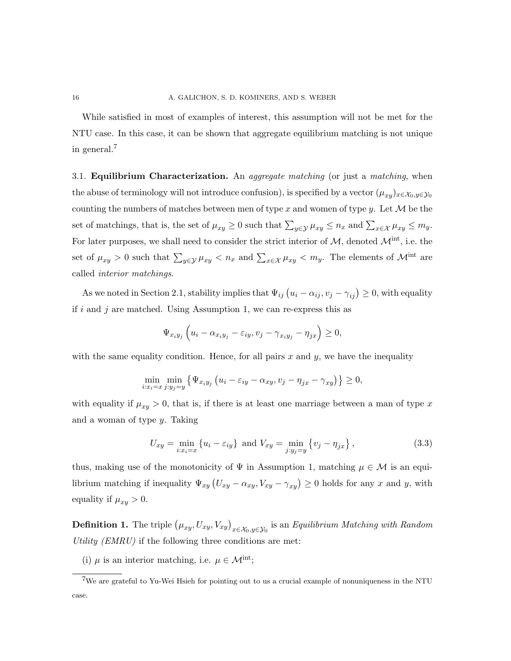While satisfied in most of examples of interest, this assumption will not be met for the NTU case. In this case, it can be shown that aggregate equilibrium matching is not unique in general.<sup>7</sup>

3.1. **Equilibrium Characterization.** An *aggregate matching* (or just a *matching*, when the abuse of terminology will not introduce confusion), is specified by a vector  $(\mu_{xy})_{x\in\mathcal{X}_0,y\in\mathcal{Y}_0}$ counting the numbers of matches between men of type x and women of type y. Let  $\mathcal M$  be the set of matchings, that is, the set of  $\mu_{xy} \ge 0$  such that  $\sum_{y \in \mathcal{Y}} \mu_{xy} \le n_x$  and  $\sum_{x \in \mathcal{X}} \mu_{xy} \le m_y$ . For later purposes, we shall need to consider the strict interior of  $M$ , denoted  $\mathcal{M}^{\text{int}}$ , i.e. the set of  $\mu_{xy} > 0$  such that  $\sum_{y \in \mathcal{Y}} \mu_{xy} < n_x$  and  $\sum_{x \in \mathcal{X}} \mu_{xy} < m_y$ . The elements of  $\mathcal{M}^{\text{int}}$  are called interior matchings.

As we noted in Section 2.1, stability implies that  $\Psi_{ij}(u_i - \alpha_{ij}, v_j - \gamma_{ij}) \geq 0$ , with equality if i and j are matched. Using Assumption 1, we can re-express this as

$$
\Psi_{x_i y_j} \left( u_i - \alpha_{x_i y_j} - \varepsilon_{iy}, v_j - \gamma_{x_i y_j} - \eta_{jx} \right) \geq 0,
$$

with the same equality condition. Hence, for all pairs x and  $y$ , we have the inequality

$$
\min_{i:x_i=x} \min_{j:y_j=y} \left\{ \Psi_{x_iy_j} \left( u_i - \varepsilon_{iy} - \alpha_{xy}, v_j - \eta_{jx} - \gamma_{xy} \right) \right\} \geq 0,
$$

with equality if  $\mu_{xy} > 0$ , that is, if there is at least one marriage between a man of type x and a woman of type y. Taking

$$
U_{xy} = \min_{i:x_i=x} \{u_i - \varepsilon_{iy}\} \text{ and } V_{xy} = \min_{j:y_j=y} \{v_j - \eta_{jx}\},
$$
\n(3.3)

thus, making use of the monotonicity of  $\Psi$  in Assumption 1, matching  $\mu \in \mathcal{M}$  is an equilibrium matching if inequality  $\Psi_{xy}(U_{xy}-\alpha_{xy}, V_{xy}-\gamma_{xy})\geq 0$  holds for any x and y, with equality if  $\mu_{xy} > 0$ .

**Definition 1.** The triple  $(\mu_{xy}, U_{xy}, V_{xy})_{x \in \mathcal{X}_0, y \in \mathcal{Y}_0}$  is an Equilibrium Matching with Random Utility  $(EMRU)$  if the following three conditions are met:

(i)  $\mu$  is an interior matching, i.e.  $\mu \in \mathcal{M}^{\text{int}}$ ;

<sup>7</sup>We are grateful to Yu-Wei Hsieh for pointing out to us a crucial example of nonuniqueness in the NTU case.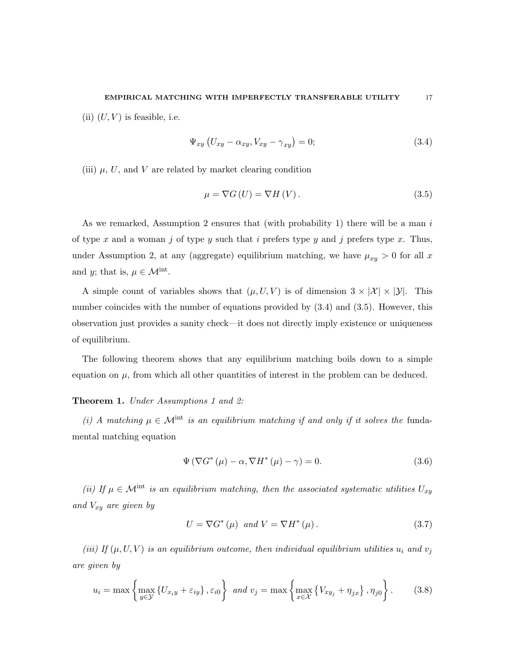(ii)  $(U, V)$  is feasible, i.e.

$$
\Psi_{xy} \left( U_{xy} - \alpha_{xy}, V_{xy} - \gamma_{xy} \right) = 0; \tag{3.4}
$$

(iii)  $\mu$ , U, and V are related by market clearing condition

$$
\mu = \nabla G \left( U \right) = \nabla H \left( V \right). \tag{3.5}
$$

As we remarked, Assumption 2 ensures that (with probability 1) there will be a man i of type x and a woman j of type y such that i prefers type y and j prefers type x. Thus, under Assumption 2, at any (aggregate) equilibrium matching, we have  $\mu_{xy} > 0$  for all x and y; that is,  $\mu \in \mathcal{M}^{\text{int}}$ .

A simple count of variables shows that  $(\mu, U, V)$  is of dimension  $3 \times |\mathcal{X}| \times |\mathcal{Y}|$ . This number coincides with the number of equations provided by (3.4) and (3.5). However, this observation just provides a sanity check—it does not directly imply existence or uniqueness of equilibrium.

The following theorem shows that any equilibrium matching boils down to a simple equation on  $\mu$ , from which all other quantities of interest in the problem can be deduced.

#### Theorem 1. Under Assumptions 1 and 2:

(i) A matching  $\mu \in \mathcal{M}^{\text{int}}$  is an equilibrium matching if and only if it solves the fundamental matching equation

$$
\Psi(\nabla G^*(\mu) - \alpha, \nabla H^*(\mu) - \gamma) = 0.
$$
\n(3.6)

(ii) If  $\mu \in \mathcal{M}^{\text{int}}$  is an equilibrium matching, then the associated systematic utilities  $U_{xy}$ and  $V_{xy}$  are given by

$$
U = \nabla G^*(\mu) \quad and \quad V = \nabla H^*(\mu). \tag{3.7}
$$

(iii) If  $(\mu, U, V)$  is an equilibrium outcome, then individual equilibrium utilities  $u_i$  and  $v_j$ are given by

$$
u_i = \max\left\{\max_{y \in \mathcal{Y}} \left\{U_{x_i y} + \varepsilon_{i y}\right\}, \varepsilon_{i 0}\right\} \text{ and } v_j = \max\left\{\max_{x \in \mathcal{X}} \left\{V_{x y_j} + \eta_{j x}\right\}, \eta_{j 0}\right\}.
$$
 (3.8)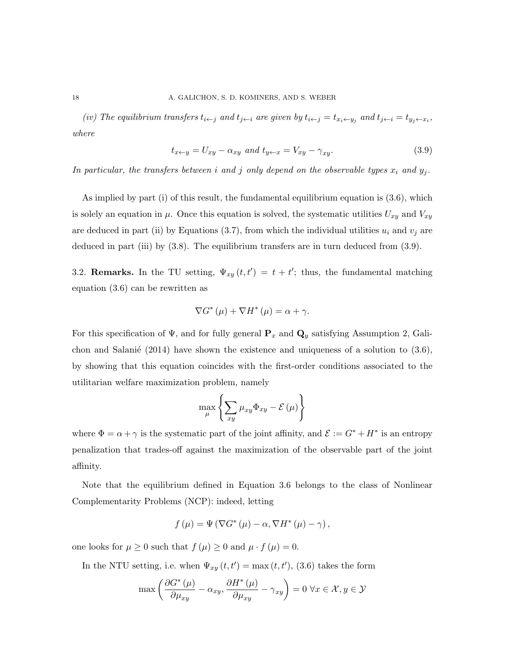(iv) The equilibrium transfers  $t_{i \leftarrow j}$  and  $t_{j \leftarrow i}$  are given by  $t_{i \leftarrow j} = t_{x_i \leftarrow y_j}$  and  $t_{j \leftarrow i} = t_{y_j \leftarrow x_i}$ , where

$$
t_{x \leftarrow y} = U_{xy} - \alpha_{xy} \text{ and } t_{y \leftarrow x} = V_{xy} - \gamma_{xy}.\tag{3.9}
$$

In particular, the transfers between i and j only depend on the observable types  $x_i$  and  $y_j$ .

As implied by part (i) of this result, the fundamental equilibrium equation is (3.6), which is solely an equation in  $\mu$ . Once this equation is solved, the systematic utilities  $U_{xy}$  and  $V_{xy}$ are deduced in part (ii) by Equations (3.7), from which the individual utilities  $u_i$  and  $v_j$  are deduced in part (iii) by (3.8). The equilibrium transfers are in turn deduced from (3.9).

3.2. **Remarks.** In the TU setting,  $\Psi_{xy}(t,t') = t + t'$ ; thus, the fundamental matching equation (3.6) can be rewritten as

$$
\nabla G^*(\mu) + \nabla H^*(\mu) = \alpha + \gamma.
$$

For this specification of  $\Psi$ , and for fully general  $\mathbf{P}_x$  and  $\mathbf{Q}_y$  satisfying Assumption 2, Galichon and Salanié (2014) have shown the existence and uniqueness of a solution to  $(3.6)$ , by showing that this equation coincides with the first-order conditions associated to the utilitarian welfare maximization problem, namely

$$
\max_{\mu} \left\{ \sum_{xy} \mu_{xy} \Phi_{xy} - \mathcal{E} \left( \mu \right) \right\}
$$

where  $\Phi = \alpha + \gamma$  is the systematic part of the joint affinity, and  $\mathcal{E} := G^* + H^*$  is an entropy penalization that trades-off against the maximization of the observable part of the joint affinity.

Note that the equilibrium defined in Equation 3.6 belongs to the class of Nonlinear Complementarity Problems (NCP): indeed, letting

$$
f(\mu) = \Psi(\nabla G^*(\mu) - \alpha, \nabla H^*(\mu) - \gamma),
$$

one looks for  $\mu \geq 0$  such that  $f(\mu) \geq 0$  and  $\mu \cdot f(\mu) = 0$ .

In the NTU setting, i.e. when  $\Psi_{xy}(t,t') = \max(t,t')$ , (3.6) takes the form

$$
\max\left(\frac{\partial G^*(\mu)}{\partial \mu_{xy}} - \alpha_{xy}, \frac{\partial H^*(\mu)}{\partial \mu_{xy}} - \gamma_{xy}\right) = 0 \,\,\forall x \in \mathcal{X}, y \in \mathcal{Y}
$$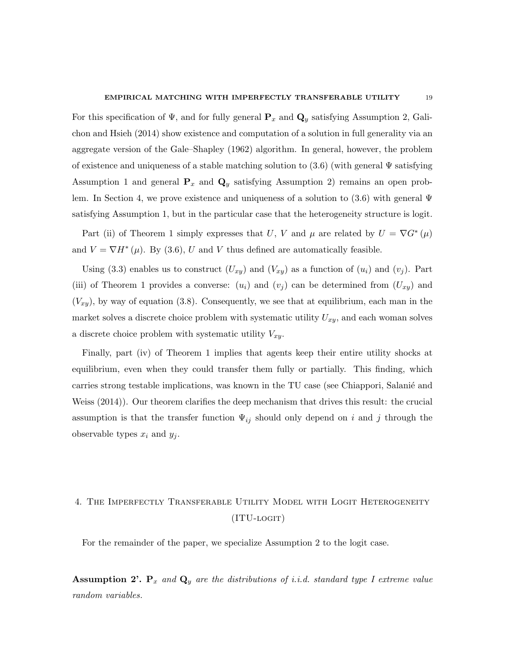For this specification of  $\Psi$ , and for fully general  $\mathbf{P}_x$  and  $\mathbf{Q}_y$  satisfying Assumption 2, Galichon and Hsieh (2014) show existence and computation of a solution in full generality via an aggregate version of the Gale–Shapley (1962) algorithm. In general, however, the problem of existence and uniqueness of a stable matching solution to  $(3.6)$  (with general  $\Psi$  satisfying Assumption 1 and general  $P_x$  and  $Q_y$  satisfying Assumption 2) remains an open problem. In Section 4, we prove existence and uniqueness of a solution to  $(3.6)$  with general  $\Psi$ satisfying Assumption 1, but in the particular case that the heterogeneity structure is logit.

Part (ii) of Theorem 1 simply expresses that U, V and  $\mu$  are related by  $U = \nabla G^*(\mu)$ and  $V = \nabla H^*(\mu)$ . By (3.6), U and V thus defined are automatically feasible.

Using (3.3) enables us to construct  $(U_{xy})$  and  $(V_{xy})$  as a function of  $(u_i)$  and  $(v_j)$ . Part (iii) of Theorem 1 provides a converse:  $(u_i)$  and  $(v_j)$  can be determined from  $(U_{xy})$  and  $(V_{xy})$ , by way of equation (3.8). Consequently, we see that at equilibrium, each man in the market solves a discrete choice problem with systematic utility  $U_{xy}$ , and each woman solves a discrete choice problem with systematic utility  $V_{xy}$ .

Finally, part (iv) of Theorem 1 implies that agents keep their entire utility shocks at equilibrium, even when they could transfer them fully or partially. This finding, which carries strong testable implications, was known in the TU case (see Chiappori, Salanie and Weiss (2014)). Our theorem clarifies the deep mechanism that drives this result: the crucial assumption is that the transfer function  $\Psi_{ij}$  should only depend on i and j through the observable types  $x_i$  and  $y_j$ .

# 4. The Imperfectly Transferable Utility Model with Logit Heterogeneity (ITU-logit)

For the remainder of the paper, we specialize Assumption 2 to the logit case.

**Assumption 2'.**  $P_x$  and  $Q_y$  are the distributions of i.i.d. standard type I extreme value random variables.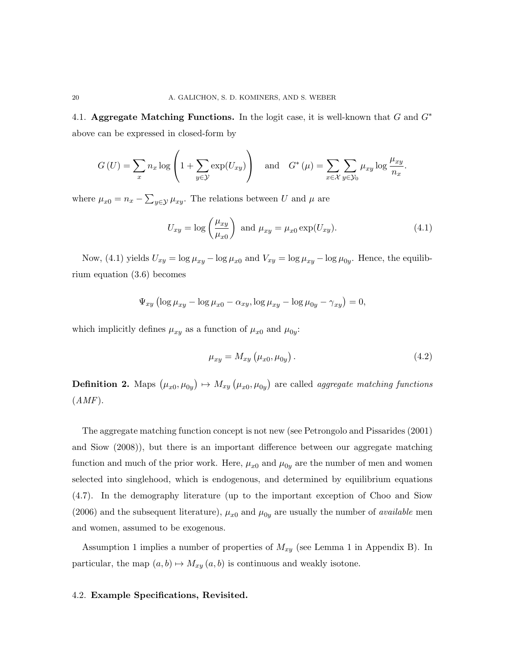4.1. Aggregate Matching Functions. In the logit case, it is well-known that G and  $G^*$ above can be expressed in closed-form by

$$
G\left(U\right) = \sum_{x} n_x \log \left(1 + \sum_{y \in \mathcal{Y}} \exp(U_{xy})\right) \quad \text{and} \quad G^*\left(\mu\right) = \sum_{x \in \mathcal{X}} \sum_{y \in \mathcal{Y}_0} \mu_{xy} \log \frac{\mu_{xy}}{n_x}.
$$

where  $\mu_{x0} = n_x - \sum_{y \in \mathcal{Y}} \mu_{xy}$ . The relations between U and  $\mu$  are

$$
U_{xy} = \log\left(\frac{\mu_{xy}}{\mu_{x0}}\right) \text{ and } \mu_{xy} = \mu_{x0} \exp(U_{xy}). \tag{4.1}
$$

Now, (4.1) yields  $U_{xy} = \log \mu_{xy} - \log \mu_{x0}$  and  $V_{xy} = \log \mu_{xy} - \log \mu_{0y}$ . Hence, the equilibrium equation (3.6) becomes

$$
\Psi_{xy} \left( \log \mu_{xy} - \log \mu_{x0} - \alpha_{xy}, \log \mu_{xy} - \log \mu_{0y} - \gamma_{xy} \right) = 0,
$$

which implicitly defines  $\mu_{xy}$  as a function of  $\mu_{x0}$  and  $\mu_{0y}$ :

$$
\mu_{xy} = M_{xy} \left( \mu_{x0}, \mu_{0y} \right). \tag{4.2}
$$

**Definition 2.** Maps  $(\mu_{x0}, \mu_{0y}) \mapsto M_{xy}(\mu_{x0}, \mu_{0y})$  are called *aggregate matching functions*  $(AMF).$ 

The aggregate matching function concept is not new (see Petrongolo and Pissarides (2001) and Siow (2008)), but there is an important difference between our aggregate matching function and much of the prior work. Here,  $\mu_{x0}$  and  $\mu_{0y}$  are the number of men and women selected into singlehood, which is endogenous, and determined by equilibrium equations (4.7). In the demography literature (up to the important exception of Choo and Siow (2006) and the subsequent literature),  $\mu_{x0}$  and  $\mu_{0y}$  are usually the number of *available* men and women, assumed to be exogenous.

Assumption 1 implies a number of properties of  $M_{xy}$  (see Lemma 1 in Appendix B). In particular, the map  $(a, b) \mapsto M_{xy} (a, b)$  is continuous and weakly isotone.

#### 4.2. Example Specifications, Revisited.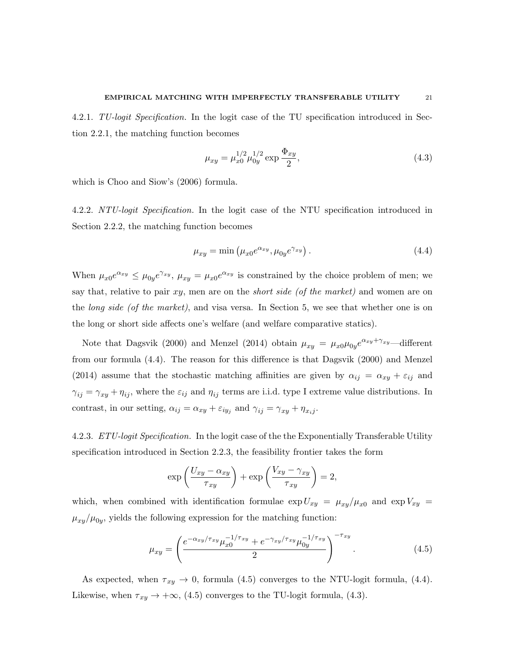4.2.1. TU-logit Specification. In the logit case of the TU specification introduced in Section 2.2.1, the matching function becomes

$$
\mu_{xy} = \mu_{x0}^{1/2} \mu_{0y}^{1/2} \exp{\frac{\Phi_{xy}}{2}},\tag{4.3}
$$

which is Choo and Siow's (2006) formula.

4.2.2. NTU-logit Specification. In the logit case of the NTU specification introduced in Section 2.2.2, the matching function becomes

$$
\mu_{xy} = \min \left( \mu_{x0} e^{\alpha_{xy}}, \mu_{0y} e^{\gamma_{xy}} \right). \tag{4.4}
$$

When  $\mu_{x0}e^{\alpha_{xy}} \leq \mu_{0y}e^{\gamma_{xy}}, \mu_{xy} = \mu_{x0}e^{\alpha_{xy}}$  is constrained by the choice problem of men; we say that, relative to pair  $xy$ , men are on the *short side (of the market)* and women are on the long side (of the market), and visa versa. In Section 5, we see that whether one is on the long or short side affects one's welfare (and welfare comparative statics).

Note that Dagsvik (2000) and Menzel (2014) obtain  $\mu_{xy} = \mu_{x0} \mu_{0y} e^{\alpha_{xy} + \gamma_{xy}}$ —different from our formula (4.4). The reason for this difference is that Dagsvik (2000) and Menzel (2014) assume that the stochastic matching affinities are given by  $\alpha_{ij} = \alpha_{xy} + \varepsilon_{ij}$  and  $\gamma_{ij} = \gamma_{xy} + \eta_{ij}$ , where the  $\varepsilon_{ij}$  and  $\eta_{ij}$  terms are i.i.d. type I extreme value distributions. In contrast, in our setting,  $\alpha_{ij} = \alpha_{xy} + \varepsilon_{iy_j}$  and  $\gamma_{ij} = \gamma_{xy} + \eta_{x_i j}$ .

4.2.3. ETU-logit Specification. In the logit case of the the Exponentially Transferable Utility specification introduced in Section 2.2.3, the feasibility frontier takes the form

$$
\exp\left(\frac{U_{xy} - \alpha_{xy}}{\tau_{xy}}\right) + \exp\left(\frac{V_{xy} - \gamma_{xy}}{\tau_{xy}}\right) = 2,
$$

which, when combined with identification formulae  $\exp U_{xy} = \mu_{xy}/\mu_{x0}$  and  $\exp V_{xy} =$  $\mu_{xy}/\mu_{0y}$ , yields the following expression for the matching function:

$$
\mu_{xy} = \left(\frac{e^{-\alpha_{xy}/\tau_{xy}} \mu_{x0}^{-1/\tau_{xy}} + e^{-\gamma_{xy}/\tau_{xy}} \mu_{0y}^{-1/\tau_{xy}}}{2}\right)^{-\tau_{xy}}.
$$
\n(4.5)

As expected, when  $\tau_{xy} \to 0$ , formula (4.5) converges to the NTU-logit formula, (4.4). Likewise, when  $\tau_{xy} \rightarrow +\infty$ , (4.5) converges to the TU-logit formula, (4.3).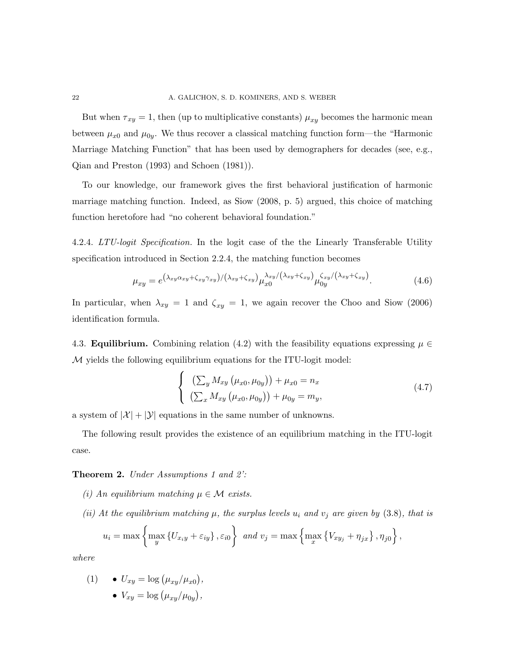But when  $\tau_{xy} = 1$ , then (up to multiplicative constants)  $\mu_{xy}$  becomes the harmonic mean between  $\mu_{x0}$  and  $\mu_{0y}$ . We thus recover a classical matching function form—the "Harmonic Marriage Matching Function" that has been used by demographers for decades (see, e.g., Qian and Preston (1993) and Schoen (1981)).

To our knowledge, our framework gives the first behavioral justification of harmonic marriage matching function. Indeed, as Siow (2008, p. 5) argued, this choice of matching function heretofore had "no coherent behavioral foundation."

4.2.4. LTU-logit Specification. In the logit case of the the Linearly Transferable Utility specification introduced in Section 2.2.4, the matching function becomes

$$
\mu_{xy} = e^{\left(\lambda_{xy}\alpha_{xy} + \zeta_{xy}\gamma_{xy}\right)/\left(\lambda_{xy} + \zeta_{xy}\right)}\mu_{x0}^{\lambda_{xy}/\left(\lambda_{xy} + \zeta_{xy}\right)}\mu_{0y}^{\zeta_{xy}/\left(\lambda_{xy} + \zeta_{xy}\right)}.
$$
\n(4.6)

In particular, when  $\lambda_{xy} = 1$  and  $\zeta_{xy} = 1$ , we again recover the Choo and Siow (2006) identification formula.

4.3. **Equilibrium.** Combining relation (4.2) with the feasibility equations expressing  $\mu \in$ M yields the following equilibrium equations for the ITU-logit model:

$$
\begin{cases}\n\left(\sum_{y} M_{xy} \left(\mu_{x0}, \mu_{0y}\right)\right) + \mu_{x0} = n_x \\
\left(\sum_{x} M_{xy} \left(\mu_{x0}, \mu_{0y}\right)\right) + \mu_{0y} = m_y,\n\end{cases} \tag{4.7}
$$

a system of  $|\mathcal{X}| + |\mathcal{Y}|$  equations in the same number of unknowns.

The following result provides the existence of an equilibrium matching in the ITU-logit case.

#### Theorem 2. Under Assumptions 1 and 2':

- (i) An equilibrium matching  $\mu \in \mathcal{M}$  exists.
- (ii) At the equilibrium matching  $\mu$ , the surplus levels  $u_i$  and  $v_j$  are given by (3.8), that is

$$
u_i = \max\left\{\max_y \left\{U_{x_iy} + \varepsilon_{iy}\right\}, \varepsilon_{i0}\right\} \text{ and } v_j = \max\left\{\max_x \left\{V_{xy_j} + \eta_{jx}\right\}, \eta_{j0}\right\},\
$$

where

(1)   
\n• 
$$
U_{xy} = \log (\mu_{xy}/\mu_{x0}),
$$
  
\n•  $V_{xy} = \log (\mu_{xy}/\mu_{0y}),$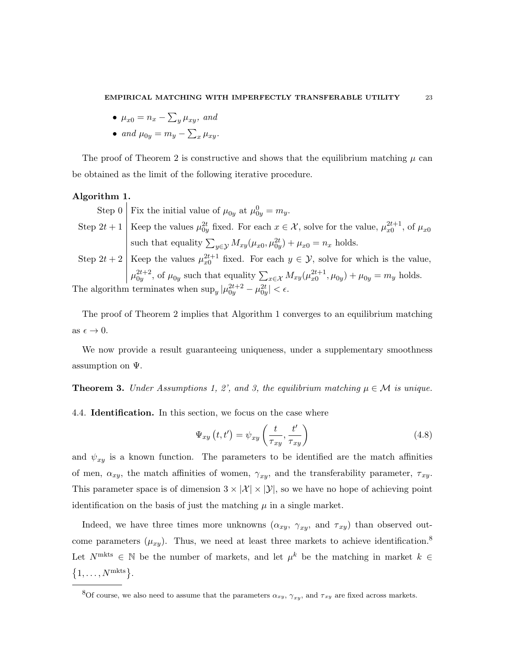- $\bullet$   $\mu_{x0} = n_x \sum_{y} \mu_{xy}$ , and
- and  $\mu_{0y} = m_y \sum_x \mu_{xy}$ .

The proof of Theorem 2 is constructive and shows that the equilibrium matching  $\mu$  can be obtained as the limit of the following iterative procedure.

# Algorithm 1.

Step 0 | Fix the initial value of  $\mu_{0y}$  at  $\mu_{0y}^0 = m_y$ .

Step  $2t+1$  Keep the values  $\mu_{0y}^{2t}$  fixed. For each  $x \in \mathcal{X}$ , solve for the value,  $\mu_{x0}^{2t+1}$ , of  $\mu_{x0}$ such that equality  $\sum_{y \in \mathcal{Y}} M_{xy}(\mu_{x0}, \mu_{0y}^{2t}) + \mu_{x0} = n_x$  holds.

Step 2*t* + 2 
$$
\begin{cases} \text{Keep the values } \mu_{x0}^{2t+1} \text{ fixed. For each } y \in \mathcal{Y}, \text{ solve for which is the value,} \\ \mu_{0y}^{2t+2}, \text{ of } \mu_{0y} \text{ such that equality } \sum_{x \in \mathcal{X}} M_{xy}(\mu_{x0}^{2t+1}, \mu_{0y}) + \mu_{0y} = m_y \text{ holds.} \end{cases}
$$

The algorithm terminates when  $\sup_y |\mu_{0y}^{2t+2} - \mu_{0y}^{2t}| < \epsilon$ .

The proof of Theorem 2 implies that Algorithm 1 converges to an equilibrium matching as  $\epsilon \to 0$ .

We now provide a result guaranteeing uniqueness, under a supplementary smoothness assumption on  $\Psi$ .

**Theorem 3.** Under Assumptions 1, 2', and 3, the equilibrium matching  $\mu \in \mathcal{M}$  is unique.

4.4. Identification. In this section, we focus on the case where

$$
\Psi_{xy}\left(t,t'\right) = \psi_{xy}\left(\frac{t}{\tau_{xy}},\frac{t'}{\tau_{xy}}\right) \tag{4.8}
$$

and  $\psi_{xy}$  is a known function. The parameters to be identified are the match affinities of men,  $\alpha_{xy}$ , the match affinities of women,  $\gamma_{xy}$ , and the transferability parameter,  $\tau_{xy}$ . This parameter space is of dimension  $3 \times |\mathcal{X}| \times |\mathcal{Y}|$ , so we have no hope of achieving point identification on the basis of just the matching  $\mu$  in a single market.

Indeed, we have three times more unknowns  $(\alpha_{xy}, \gamma_{xy}, \text{ and } \tau_{xy})$  than observed outcome parameters  $(\mu_{xy})$ . Thus, we need at least three markets to achieve identification.<sup>8</sup> Let  $N^{\text{mkts}} \in \mathbb{N}$  be the number of markets, and let  $\mu^k$  be the matching in market  $k \in \mathbb{N}$  $\{1, \ldots, N^{\text{mkts}}\}.$ 

<sup>&</sup>lt;sup>8</sup>Of course, we also need to assume that the parameters  $\alpha_{xy}$ ,  $\gamma_{xy}$ , and  $\tau_{xy}$  are fixed across markets.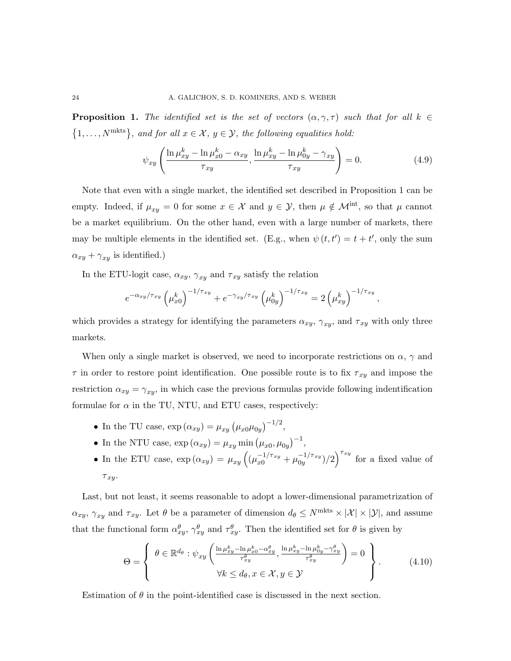**Proposition 1.** The identified set is the set of vectors  $(\alpha, \gamma, \tau)$  such that for all  $k \in$  $\{1, \ldots, N^{\text{mkts}}\},$  and for all  $x \in \mathcal{X}, y \in \mathcal{Y},$  the following equalities hold:

$$
\psi_{xy} \left( \frac{\ln \mu_{xy}^k - \ln \mu_{x0}^k - \alpha_{xy}}{\tau_{xy}}, \frac{\ln \mu_{xy}^k - \ln \mu_{0y}^k - \gamma_{xy}}{\tau_{xy}} \right) = 0. \tag{4.9}
$$

Note that even with a single market, the identified set described in Proposition 1 can be empty. Indeed, if  $\mu_{xy} = 0$  for some  $x \in \mathcal{X}$  and  $y \in \mathcal{Y}$ , then  $\mu \notin \mathcal{M}^{\text{int}}$ , so that  $\mu$  cannot be a market equilibrium. On the other hand, even with a large number of markets, there may be multiple elements in the identified set. (E.g., when  $\psi(t, t') = t + t'$ , only the sum  $\alpha_{xy} + \gamma_{xy}$  is identified.)

In the ETU-logit case,  $\alpha_{xy}$ ,  $\gamma_{xy}$  and  $\tau_{xy}$  satisfy the relation

$$
e^{-\alpha_{xy}/\tau_{xy}} \left(\mu_{x0}^k\right)^{-1/\tau_{xy}} + e^{-\gamma_{xy}/\tau_{xy}} \left(\mu_{0y}^k\right)^{-1/\tau_{xy}} = 2 \left(\mu_{xy}^k\right)^{-1/\tau_{xy}},
$$

which provides a strategy for identifying the parameters  $\alpha_{xy}$ ,  $\gamma_{xy}$ , and  $\tau_{xy}$  with only three markets.

When only a single market is observed, we need to incorporate restrictions on  $\alpha$ ,  $\gamma$  and  $\tau$  in order to restore point identification. One possible route is to fix  $\tau_{xy}$  and impose the restriction  $\alpha_{xy} = \gamma_{xy}$ , in which case the previous formulas provide following indentification formulae for  $\alpha$  in the TU, NTU, and ETU cases, respectively:

- In the TU case,  $\exp{(\alpha_{xy})} = \mu_{xy} (\mu_{x0} \mu_{0y})^{-1/2}$ ,
- In the NTU case,  $\exp(\alpha_{xy}) = \mu_{xy} \min(\mu_{x0}, \mu_{0y})^{-1}$ ,
- In the ETU case,  $\exp{(\alpha_{xy})} = \mu_{xy} \left( (\mu_{x0}^{-1/\tau_{xy}} + \mu_{0y}^{-1/\tau_{xy}} \right)$  $\int_{0y}^{-1/\tau_{xy}}$   $/2$ ) $\int_{0y}^{\tau_{xy}}$  for a fixed value of  $\tau_{xy}$ .

Last, but not least, it seems reasonable to adopt a lower-dimensional parametrization of  $\alpha_{xy}, \gamma_{xy}$  and  $\tau_{xy}$ . Let  $\theta$  be a parameter of dimension  $d_{\theta} \leq N^{\text{mkts}} \times |\mathcal{X}| \times |\mathcal{Y}|$ , and assume that the functional form  $\alpha_{xy}^{\theta}$ ,  $\gamma_{xy}^{\theta}$  and  $\tau_{xy}^{\theta}$ . Then the identified set for  $\theta$  is given by

$$
\Theta = \left\{\begin{array}{c} \theta \in \mathbb{R}^{d_{\theta}} : \psi_{xy} \left( \frac{\ln \mu_{xy}^k - \ln \mu_{x_0}^k - \alpha_{xy}^{\theta}}{\tau_{xy}^{\theta}}, \frac{\ln \mu_{xy}^k - \ln \mu_{0y}^k - \gamma_{xy}^{\theta}}{\tau_{xy}^{\theta}} \right) = 0 \\ \forall k \leq d_{\theta}, x \in \mathcal{X}, y \in \mathcal{Y} \end{array} \right\}.
$$
 (4.10)

Estimation of  $\theta$  in the point-identified case is discussed in the next section.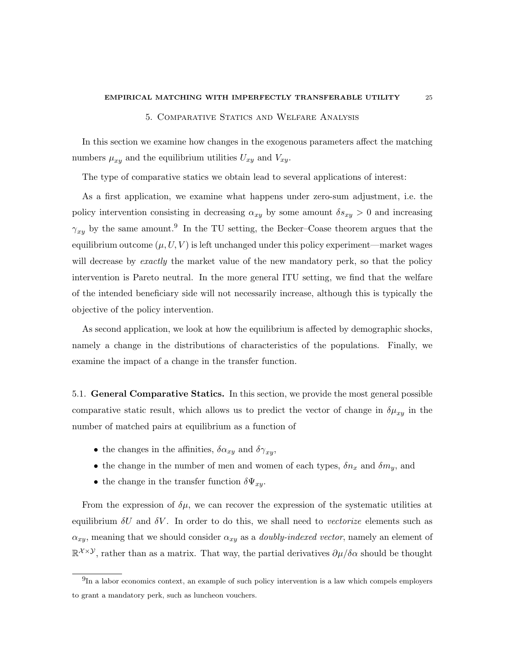#### EMPIRICAL MATCHING WITH IMPERFECTLY TRANSFERABLE UTILITY 25

## 5. Comparative Statics and Welfare Analysis

In this section we examine how changes in the exogenous parameters affect the matching numbers  $\mu_{xy}$  and the equilibrium utilities  $U_{xy}$  and  $V_{xy}$ .

The type of comparative statics we obtain lead to several applications of interest:

As a first application, we examine what happens under zero-sum adjustment, i.e. the policy intervention consisting in decreasing  $\alpha_{xy}$  by some amount  $\delta s_{xy} > 0$  and increasing  $\gamma_{xy}$  by the same amount.<sup>9</sup> In the TU setting, the Becker–Coase theorem argues that the equilibrium outcome  $(\mu, U, V)$  is left unchanged under this policy experiment—market wages will decrease by exactly the market value of the new mandatory perk, so that the policy intervention is Pareto neutral. In the more general ITU setting, we find that the welfare of the intended beneficiary side will not necessarily increase, although this is typically the objective of the policy intervention.

As second application, we look at how the equilibrium is affected by demographic shocks, namely a change in the distributions of characteristics of the populations. Finally, we examine the impact of a change in the transfer function.

5.1. General Comparative Statics. In this section, we provide the most general possible comparative static result, which allows us to predict the vector of change in  $\delta \mu_{xy}$  in the number of matched pairs at equilibrium as a function of

- the changes in the affinities,  $\delta \alpha_{xy}$  and  $\delta \gamma_{xy}$ ,
- the change in the number of men and women of each types,  $\delta n_x$  and  $\delta m_y$ , and
- the change in the transfer function  $\delta \Psi_{xy}$ .

From the expression of  $\delta\mu$ , we can recover the expression of the systematic utilities at equilibrium  $\delta U$  and  $\delta V$ . In order to do this, we shall need to vectorize elements such as  $\alpha_{xy}$ , meaning that we should consider  $\alpha_{xy}$  as a *doubly-indexed vector*, namely an element of  $\mathbb{R}^{\mathcal{X}\times\mathcal{Y}}$ , rather than as a matrix. That way, the partial derivatives  $\partial\mu/\delta\alpha$  should be thought

<sup>&</sup>lt;sup>9</sup>In a labor economics context, an example of such policy intervention is a law which compels employers to grant a mandatory perk, such as luncheon vouchers.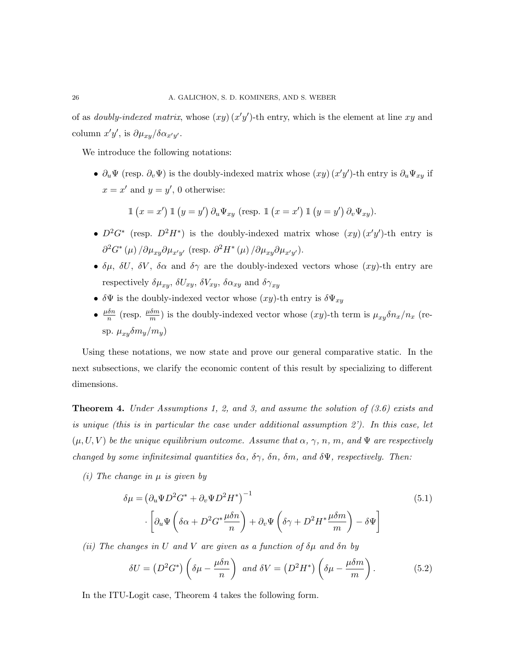of as *doubly-indexed matrix*, whose  $(xy)(x'y')$ -th entry, which is the element at line xy and column  $x'y'$ , is  $\partial \mu_{xy}/\delta \alpha_{x'y'}$ .

We introduce the following notations:

•  $\partial_u \Psi$  (resp.  $\partial_v \Psi$ ) is the doubly-indexed matrix whose  $(xy)(x'y')$ -th entry is  $\partial_u \Psi_{xy}$  if  $x = x'$  and  $y = y'$ , 0 otherwise:

$$
\mathbb{1} (x = x') \mathbb{1} (y = y') \partial_u \Psi_{xy} \text{ (resp. } \mathbb{1} (x = x') \mathbb{1} (y = y') \partial_v \Psi_{xy}).
$$

- $D^2G^*$  (resp.  $D^2H^*$ ) is the doubly-indexed matrix whose  $(xy)(x'y')$ -th entry is  $\partial^2 G^*(\mu) / \partial \mu_{xy} \partial \mu_{x'y'}$  (resp.  $\partial^2 H^*(\mu) / \partial \mu_{xy} \partial \mu_{x'y'}$ ).
- $\delta\mu$ ,  $\delta U$ ,  $\delta V$ ,  $\delta\alpha$  and  $\delta\gamma$  are the doubly-indexed vectors whose  $(xy)$ -th entry are respectively  $\delta \mu_{xy}$ ,  $\delta U_{xy}$ ,  $\delta V_{xy}$ ,  $\delta \alpha_{xy}$  and  $\delta \gamma_{xy}$
- $\delta\Psi$  is the doubly-indexed vector whose  $(xy)$ -th entry is  $\delta\Psi_{xy}$
- $\bullet$   $\frac{\mu \delta n}{n}$  $\frac{\delta n}{n}$  (resp.  $\frac{\mu \delta m}{m}$ ) is the doubly-indexed vector whose  $(xy)$ -th term is  $\mu_{xy}\delta n_x/n_x$  (resp.  $\mu_{xy} \delta m_y/m_y$ )

Using these notations, we now state and prove our general comparative static. In the next subsections, we clarify the economic content of this result by specializing to different dimensions.

**Theorem 4.** Under Assumptions 1, 2, and 3, and assume the solution of  $(3.6)$  exists and is unique (this is in particular the case under additional assumption 2'). In this case, let  $(\mu, U, V)$  be the unique equilibrium outcome. Assume that  $\alpha$ ,  $\gamma$ ,  $n$ ,  $m$ , and  $\Psi$  are respectively changed by some infinitesimal quantities  $\delta \alpha$ ,  $\delta \gamma$ ,  $\delta n$ ,  $\delta m$ , and  $\delta \Psi$ , respectively. Then:

(*i*) The change in  $\mu$  is given by

$$
\delta \mu = \left(\partial_u \Psi D^2 G^* + \partial_v \Psi D^2 H^*\right)^{-1} \tag{5.1}
$$
\n
$$
\cdot \left[\partial_u \Psi \left(\delta \alpha + D^2 G^* \frac{\mu \delta n}{n}\right) + \partial_v \Psi \left(\delta \gamma + D^2 H^* \frac{\mu \delta m}{m}\right) - \delta \Psi\right]
$$

(ii) The changes in U and V are given as a function of  $\delta\mu$  and  $\delta n$  by

$$
\delta U = \left(D^2 G^*\right) \left(\delta \mu - \frac{\mu \delta n}{n}\right) \text{ and } \delta V = \left(D^2 H^*\right) \left(\delta \mu - \frac{\mu \delta m}{m}\right). \tag{5.2}
$$

In the ITU-Logit case, Theorem 4 takes the following form.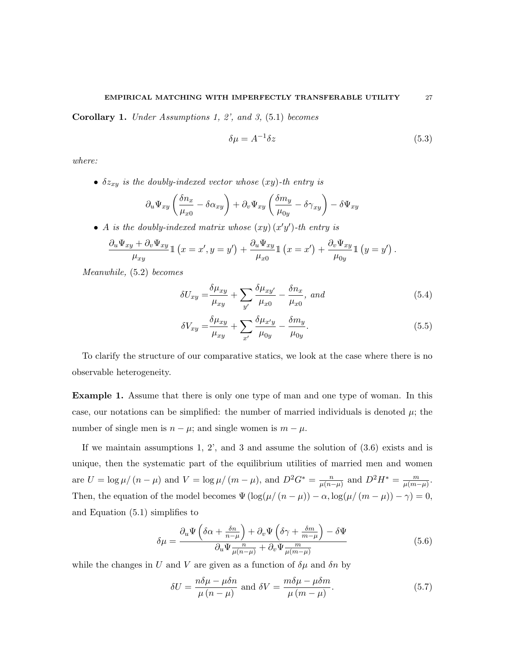Corollary 1. Under Assumptions 1, 2', and 3, (5.1) becomes

$$
\delta \mu = A^{-1} \delta z \tag{5.3}
$$

where:

•  $\delta z_{xy}$  is the doubly-indexed vector whose  $(xy)$ -th entry is

$$
\partial_u \Psi_{xy} \left( \frac{\delta n_x}{\mu_{x0}} - \delta \alpha_{xy} \right) + \partial_v \Psi_{xy} \left( \frac{\delta m_y}{\mu_{0y}} - \delta \gamma_{xy} \right) - \delta \Psi_{xy}
$$

• A is the doubly-indexed matrix whose  $(xy)(x'y')$ -th entry is

$$
\frac{\partial_u \Psi_{xy} + \partial_v \Psi_{xy}}{\mu_{xy}} \mathbb{1} (x = x', y = y') + \frac{\partial_u \Psi_{xy}}{\mu_{x0}} \mathbb{1} (x = x') + \frac{\partial_v \Psi_{xy}}{\mu_{0y}} \mathbb{1} (y = y') .
$$

Meanwhile, (5.2) becomes

$$
\delta U_{xy} = \frac{\delta \mu_{xy}}{\mu_{xy}} + \sum_{y'} \frac{\delta \mu_{xy'}}{\mu_{x0}} - \frac{\delta n_x}{\mu_{x0}}, \text{ and}
$$
\n(5.4)

$$
\delta V_{xy} = \frac{\delta \mu_{xy}}{\mu_{xy}} + \sum_{x'} \frac{\delta \mu_{x'y}}{\mu_{0y}} - \frac{\delta m_y}{\mu_{0y}}.
$$
\n(5.5)

To clarify the structure of our comparative statics, we look at the case where there is no observable heterogeneity.

Example 1. Assume that there is only one type of man and one type of woman. In this case, our notations can be simplified: the number of married individuals is denoted  $\mu$ ; the number of single men is  $n - \mu$ ; and single women is  $m - \mu$ .

If we maintain assumptions 1, 2', and 3 and assume the solution of (3.6) exists and is unique, then the systematic part of the equilibrium utilities of married men and women are  $U = \log \mu / (n - \mu)$  and  $V = \log \mu / (m - \mu)$ , and  $D^2 G^* = \frac{n}{\mu / n}$  $\frac{n}{\mu(n-\mu)}$  and  $D^2H^* = \frac{m}{\mu(m-\mu)}$  $\frac{m}{\mu(m-\mu)}$ . Then, the equation of the model becomes  $\Psi(\log(\mu/(n-\mu)) - \alpha, \log(\mu/(m-\mu)) - \gamma) = 0$ , and Equation (5.1) simplifies to

$$
\delta\mu = \frac{\partial_u \Psi \left( \delta \alpha + \frac{\delta n}{n - \mu} \right) + \partial_v \Psi \left( \delta \gamma + \frac{\delta m}{m - \mu} \right) - \delta \Psi}{\partial_u \Psi \frac{n}{\mu(n - \mu)} + \partial_v \Psi \frac{m}{\mu(m - \mu)}} \tag{5.6}
$$

while the changes in U and V are given as a function of  $\delta \mu$  and  $\delta n$  by

$$
\delta U = \frac{n\delta\mu - \mu\delta n}{\mu\left(n - \mu\right)} \text{ and } \delta V = \frac{m\delta\mu - \mu\delta m}{\mu\left(m - \mu\right)}.
$$
\n(5.7)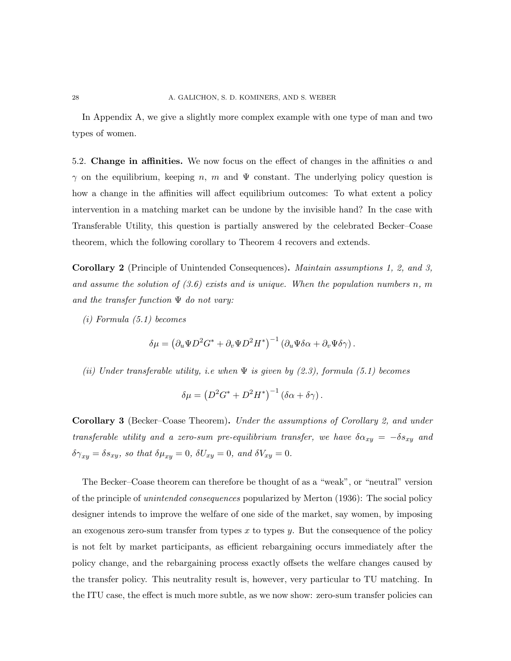In Appendix A, we give a slightly more complex example with one type of man and two types of women.

5.2. Change in affinities. We now focus on the effect of changes in the affinities  $\alpha$  and  $\gamma$  on the equilibrium, keeping n, m and  $\Psi$  constant. The underlying policy question is how a change in the affinities will affect equilibrium outcomes: To what extent a policy intervention in a matching market can be undone by the invisible hand? In the case with Transferable Utility, this question is partially answered by the celebrated Becker–Coase theorem, which the following corollary to Theorem 4 recovers and extends.

Corollary 2 (Principle of Unintended Consequences). Maintain assumptions 1, 2, and 3, and assume the solution of  $(3.6)$  exists and is unique. When the population numbers n, m and the transfer function  $\Psi$  do not vary:

(i) Formula (5.1) becomes

$$
\delta\mu = \left(\partial_u\Psi D^2 G^* + \partial_v\Psi D^2 H^*\right)^{-1} \left(\partial_u\Psi \delta\alpha + \partial_v\Psi \delta\gamma\right).
$$

(ii) Under transferable utility, i.e when  $\Psi$  is given by (2.3), formula (5.1) becomes

$$
\delta \mu = \left( D^2 G^* + D^2 H^* \right)^{-1} \left( \delta \alpha + \delta \gamma \right).
$$

Corollary 3 (Becker–Coase Theorem). Under the assumptions of Corollary 2, and under transferable utility and a zero-sum pre-equilibrium transfer, we have  $\delta \alpha_{xy} = -\delta s_{xy}$  and  $\delta\gamma_{xy} = \delta s_{xy}$ , so that  $\delta\mu_{xy} = 0$ ,  $\delta U_{xy} = 0$ , and  $\delta V_{xy} = 0$ .

The Becker–Coase theorem can therefore be thought of as a "weak", or "neutral" version of the principle of unintended consequences popularized by Merton (1936): The social policy designer intends to improve the welfare of one side of the market, say women, by imposing an exogenous zero-sum transfer from types x to types y. But the consequence of the policy is not felt by market participants, as efficient rebargaining occurs immediately after the policy change, and the rebargaining process exactly offsets the welfare changes caused by the transfer policy. This neutrality result is, however, very particular to TU matching. In the ITU case, the effect is much more subtle, as we now show: zero-sum transfer policies can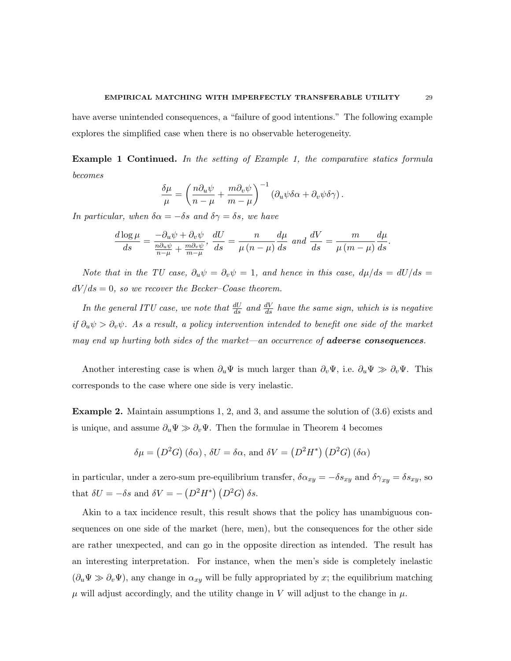have averse unintended consequences, a "failure of good intentions." The following example explores the simplified case when there is no observable heterogeneity.

Example 1 Continued. In the setting of Example 1, the comparative statics formula becomes

$$
\frac{\delta \mu}{\mu} = \left(\frac{n \partial_u \psi}{n - \mu} + \frac{m \partial_v \psi}{m - \mu}\right)^{-1} \left(\partial_u \psi \delta \alpha + \partial_v \psi \delta \gamma\right).
$$

In particular, when  $\delta \alpha = -\delta s$  and  $\delta \gamma = \delta s$ , we have

$$
\frac{d \log \mu}{ds} = \frac{-\partial_u \psi + \partial_v \psi}{\frac{n \partial_u \psi}{n - \mu} + \frac{m \partial_v \psi}{m - \mu}}, \frac{dU}{ds} = \frac{n}{\mu (n - \mu)} \frac{d \mu}{ds} \text{ and } \frac{dV}{ds} = \frac{m}{\mu (m - \mu)} \frac{d \mu}{ds}.
$$

Note that in the TU case,  $\partial_u \psi = \partial_v \psi = 1$ , and hence in this case,  $d\mu/ds = dU/ds$  $dV/ds = 0$ , so we recover the Becker–Coase theorem.

In the general ITU case, we note that  $\frac{dU}{ds}$  and  $\frac{dV}{ds}$  have the same sign, which is is negative if  $\partial_u \psi > \partial_v \psi$ . As a result, a policy intervention intended to benefit one side of the market may end up hurting both sides of the market—an occurrence of **adverse consequences**.

Another interesting case is when  $\partial_u \Psi$  is much larger than  $\partial_v \Psi$ , i.e.  $\partial_u \Psi \gg \partial_v \Psi$ . This corresponds to the case where one side is very inelastic.

Example 2. Maintain assumptions 1, 2, and 3, and assume the solution of (3.6) exists and is unique, and assume  $\partial_u \Psi \gg \partial_v \Psi$ . Then the formulae in Theorem 4 becomes

$$
\delta\mu = (D^2G)(\delta\alpha), \delta U = \delta\alpha
$$
, and  $\delta V = (D^2H^*)(D^2G)(\delta\alpha)$ 

in particular, under a zero-sum pre-equilibrium transfer,  $\delta \alpha_{xy} = -\delta s_{xy}$  and  $\delta \gamma_{xy} = \delta s_{xy}$ , so that  $\delta U = -\delta s$  and  $\delta V = -\left(D^2 H^*\right) \left(D^2 G\right) \delta s$ .

Akin to a tax incidence result, this result shows that the policy has unambiguous consequences on one side of the market (here, men), but the consequences for the other side are rather unexpected, and can go in the opposite direction as intended. The result has an interesting interpretation. For instance, when the men's side is completely inelastic  $(\partial_u \Psi \gg \partial_v \Psi)$ , any change in  $\alpha_{xy}$  will be fully appropriated by x; the equilibrium matching  $\mu$  will adjust accordingly, and the utility change in V will adjust to the change in  $\mu$ .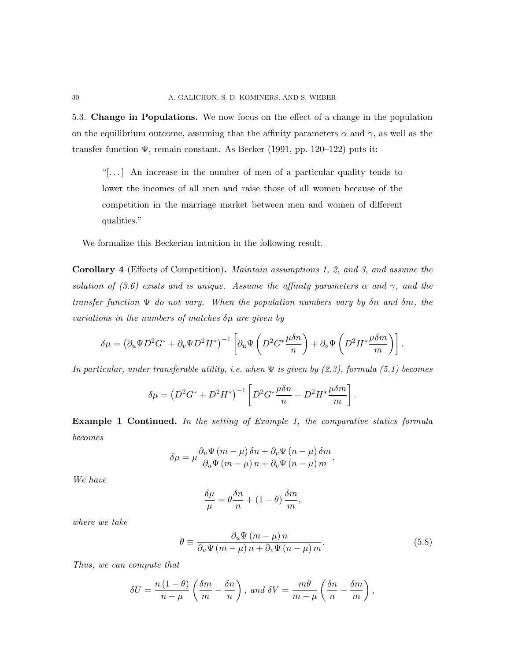5.3. Change in Populations. We now focus on the effect of a change in the population on the equilibrium outcome, assuming that the affinity parameters  $\alpha$  and  $\gamma$ , as well as the transfer function  $\Psi$ , remain constant. As Becker (1991, pp. 120–122) puts it:

"[. . . ] An increase in the number of men of a particular quality tends to lower the incomes of all men and raise those of all women because of the competition in the marriage market between men and women of different qualities."

We formalize this Beckerian intuition in the following result.

Corollary 4 (Effects of Competition). Maintain assumptions 1, 2, and 3, and assume the solution of (3.6) exists and is unique. Assume the affinity parameters  $\alpha$  and  $\gamma$ , and the transfer function  $\Psi$  do not vary. When the population numbers vary by  $\delta n$  and  $\delta m$ , the variations in the numbers of matches  $\delta \mu$  are given by

$$
\delta\mu = \left(\partial_u \Psi D^2 G^* + \partial_v \Psi D^2 H^*\right)^{-1} \left[\partial_u \Psi \left(D^2 G^* \frac{\mu \delta n}{n}\right) + \partial_v \Psi \left(D^2 H^* \frac{\mu \delta m}{m}\right)\right].
$$

In particular, under transferable utility, i.e. when  $\Psi$  is given by (2.3), formula (5.1) becomes

$$
\delta \mu = \left( D^2 G^* + D^2 H^* \right)^{-1} \left[ D^2 G^* \frac{\mu \delta n}{n} + D^2 H^* \frac{\mu \delta m}{m} \right]
$$

Example 1 Continued. In the setting of Example 1, the comparative statics formula becomes

$$
\delta\mu = \mu \frac{\partial_u \Psi (m - \mu) \delta n + \partial_v \Psi (n - \mu) \delta m}{\partial_u \Psi (m - \mu) n + \partial_v \Psi (n - \mu) m}.
$$

We have

$$
\frac{\delta \mu}{\mu} = \theta \frac{\delta n}{n} + (1 - \theta) \frac{\delta m}{m},
$$

where we take

$$
\theta \equiv \frac{\partial_u \Psi (m - \mu) n}{\partial_u \Psi (m - \mu) n + \partial_v \Psi (n - \mu) m}.
$$
\n(5.8)

.

Thus, we can compute that

$$
\delta U = \frac{n(1-\theta)}{n-\mu} \left( \frac{\delta m}{m} - \frac{\delta n}{n} \right), \text{ and } \delta V = \frac{m\theta}{m-\mu} \left( \frac{\delta n}{n} - \frac{\delta m}{m} \right),
$$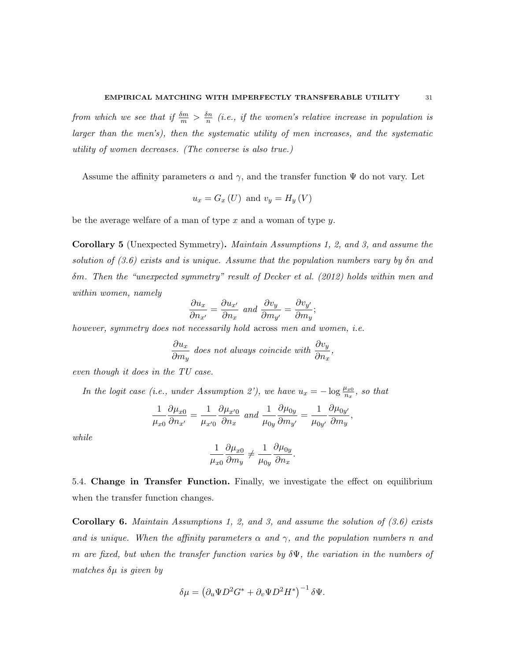from which we see that if  $\frac{\delta m}{m} > \frac{\delta n}{n}$  $\frac{dn}{n}$  (i.e., if the women's relative increase in population is larger than the men's), then the systematic utility of men increases, and the systematic utility of women decreases. (The converse is also true.)

Assume the affinity parameters  $\alpha$  and  $\gamma$ , and the transfer function  $\Psi$  do not vary. Let

$$
u_x = G_x \left( U \right) \text{ and } v_y = H_y \left( V \right)
$$

be the average welfare of a man of type  $x$  and a woman of type  $y$ .

Corollary 5 (Unexpected Symmetry). Maintain Assumptions 1, 2, and 3, and assume the solution of  $(3.6)$  exists and is unique. Assume that the population numbers vary by  $\delta n$  and δm. Then the "unexpected symmetry" result of Decker et al. (2012) holds within men and within women, namely

$$
\frac{\partial u_x}{\partial n_{x'}} = \frac{\partial u_{x'}}{\partial n_x} \text{ and } \frac{\partial v_y}{\partial m_{y'}} = \frac{\partial v_{y'}}{\partial m_y};
$$

however, symmetry does not necessarily hold across men and women, i.e.

$$
\frac{\partial u_x}{\partial m_y} \text{ does not always coincide with } \frac{\partial v_y}{\partial n_x},
$$

even though it does in the TU case.

In the logit case (i.e., under Assumption 2'), we have  $u_x = -\log \frac{\mu_{x0}}{n_x}$ , so that

$$
\frac{1}{\mu_{x0}}\frac{\partial \mu_{x0}}{\partial n_{x'}} = \frac{1}{\mu_{x'0}}\frac{\partial \mu_{x'0}}{\partial n_x} \text{ and } \frac{1}{\mu_{0y}}\frac{\partial \mu_{0y}}{\partial m_{y'}} = \frac{1}{\mu_{0y'}}\frac{\partial \mu_{0y'}}{\partial m_y},
$$

while

$$
\frac{1}{\mu_{x0}}\frac{\partial \mu_{x0}}{\partial m_y} \neq \frac{1}{\mu_{0y}}\frac{\partial \mu_{0y}}{\partial n_x}.
$$

5.4. Change in Transfer Function. Finally, we investigate the effect on equilibrium when the transfer function changes.

**Corollary 6.** Maintain Assumptions 1, 2, and 3, and assume the solution of  $(3.6)$  exists and is unique. When the affinity parameters  $\alpha$  and  $\gamma$ , and the population numbers n and m are fixed, but when the transfer function varies by  $\delta\Psi$ , the variation in the numbers of matches  $\delta \mu$  is given by

$$
\delta \mu = \left( \partial_u \Psi D^2 G^* + \partial_v \Psi D^2 H^* \right)^{-1} \delta \Psi.
$$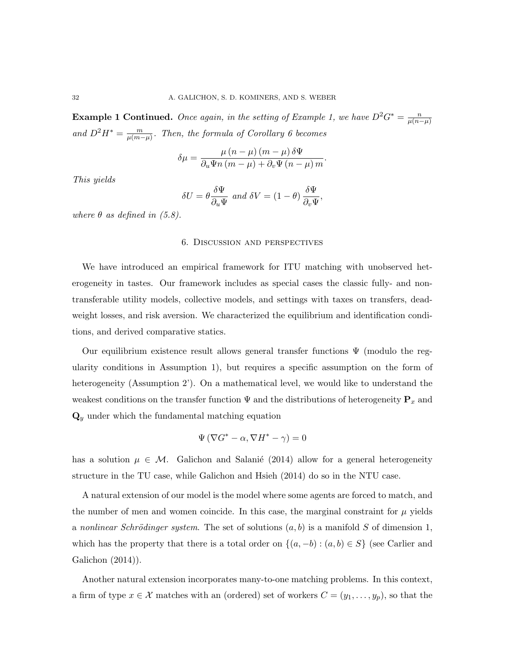**Example 1 Continued.** Once again, in the setting of Example 1, we have  $D^2G^* = \frac{n}{\mu(n)}$  $\overline{\mu(n-\mu)}$ and  $D^2H^* = \frac{m}{n(m-1)}$  $\frac{m}{\mu(m-\mu)}$ . Then, the formula of Corollary 6 becomes

$$
\delta\mu = \frac{\mu (n - \mu) (m - \mu) \delta\Psi}{\partial_u \Psi n (m - \mu) + \partial_v \Psi (n - \mu) m}
$$

.

This yields

$$
\delta U = \theta \frac{\delta \Psi}{\partial_u \Psi} \text{ and } \delta V = (1 - \theta) \frac{\delta \Psi}{\partial_v \Psi},
$$

where  $\theta$  as defined in (5.8).

## 6. Discussion and perspectives

We have introduced an empirical framework for ITU matching with unobserved heterogeneity in tastes. Our framework includes as special cases the classic fully- and nontransferable utility models, collective models, and settings with taxes on transfers, deadweight losses, and risk aversion. We characterized the equilibrium and identification conditions, and derived comparative statics.

Our equilibrium existence result allows general transfer functions  $\Psi$  (modulo the regularity conditions in Assumption 1), but requires a specific assumption on the form of heterogeneity (Assumption 2'). On a mathematical level, we would like to understand the weakest conditions on the transfer function  $\Psi$  and the distributions of heterogeneity  $\mathbf{P}_x$  and  $\mathbf{Q}_y$  under which the fundamental matching equation

$$
\Psi\left(\nabla G^* - \alpha, \nabla H^* - \gamma\right) = 0
$$

has a solution  $\mu \in \mathcal{M}$ . Galichon and Salanié (2014) allow for a general heterogeneity structure in the TU case, while Galichon and Hsieh (2014) do so in the NTU case.

A natural extension of our model is the model where some agents are forced to match, and the number of men and women coincide. In this case, the marginal constraint for  $\mu$  yields a nonlinear Schrödinger system. The set of solutions  $(a, b)$  is a manifold S of dimension 1, which has the property that there is a total order on  $\{(a, -b) : (a, b) \in S\}$  (see Carlier and Galichon (2014)).

Another natural extension incorporates many-to-one matching problems. In this context, a firm of type  $x \in \mathcal{X}$  matches with an (ordered) set of workers  $C = (y_1, \ldots, y_p)$ , so that the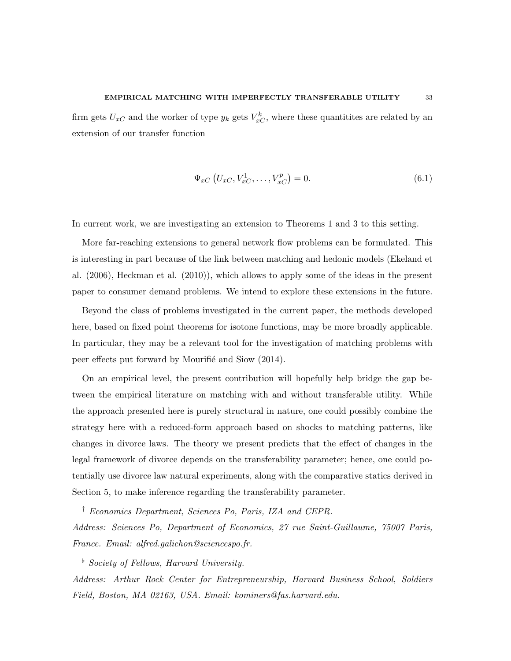#### EMPIRICAL MATCHING WITH IMPERFECTLY TRANSFERABLE UTILITY 33

firm gets  $U_{xC}$  and the worker of type  $y_k$  gets  $V_{xC}^k$ , where these quantitites are related by an extension of our transfer function

$$
\Psi_{xC}\left(U_{xC}, V_{xC}^1, \dots, V_{xC}^p\right) = 0.
$$
\n(6.1)

In current work, we are investigating an extension to Theorems 1 and 3 to this setting.

More far-reaching extensions to general network flow problems can be formulated. This is interesting in part because of the link between matching and hedonic models (Ekeland et al. (2006), Heckman et al. (2010)), which allows to apply some of the ideas in the present paper to consumer demand problems. We intend to explore these extensions in the future.

Beyond the class of problems investigated in the current paper, the methods developed here, based on fixed point theorems for isotone functions, may be more broadly applicable. In particular, they may be a relevant tool for the investigation of matching problems with peer effects put forward by Mourifié and Siow (2014).

On an empirical level, the present contribution will hopefully help bridge the gap between the empirical literature on matching with and without transferable utility. While the approach presented here is purely structural in nature, one could possibly combine the strategy here with a reduced-form approach based on shocks to matching patterns, like changes in divorce laws. The theory we present predicts that the effect of changes in the legal framework of divorce depends on the transferability parameter; hence, one could potentially use divorce law natural experiments, along with the comparative statics derived in Section 5, to make inference regarding the transferability parameter.

† Economics Department, Sciences Po, Paris, IZA and CEPR. Address: Sciences Po, Department of Economics, 27 rue Saint-Guillaume, 75007 Paris, France. Email: alfred.galichon@sciencespo.fr.

 $\overline{\phantom{a}}^{\flat}$  Society of Fellows, Harvard University.

Address: Arthur Rock Center for Entrepreneurship, Harvard Business School, Soldiers Field, Boston, MA 02163, USA. Email: kominers@fas.harvard.edu.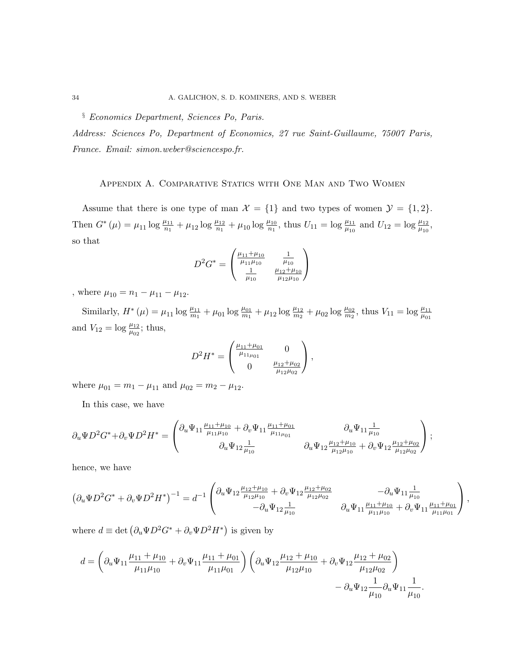# § Economics Department, Sciences Po, Paris.

Address: Sciences Po, Department of Economics, 27 rue Saint-Guillaume, 75007 Paris, France. Email: simon.weber@sciencespo.fr.

# Appendix A. Comparative Statics with One Man and Two Women

Assume that there is one type of man  $\mathcal{X} = \{1\}$  and two types of women  $\mathcal{Y} = \{1, 2\}.$ Then  $G^*(\mu) = \mu_{11} \log \frac{\mu_{11}}{n_1} + \mu_{12} \log \frac{\mu_{12}}{n_1} + \mu_{10} \log \frac{\mu_{10}}{n_1}$ , thus  $U_{11} = \log \frac{\mu_{11}}{\mu_{10}}$  and  $U_{12} = \log \frac{\mu_{12}}{\mu_{10}}$ , so that

$$
D^{2}G^{*} = \begin{pmatrix} \frac{\mu_{11} + \mu_{10}}{\mu_{11}\mu_{10}} & \frac{1}{\mu_{10}}\\ \frac{1}{\mu_{10}} & \frac{\mu_{12} + \mu_{10}}{\mu_{12}\mu_{10}} \end{pmatrix}
$$

, where  $\mu_{10} = n_1 - \mu_{11} - \mu_{12}$ .

Similarly,  $H^*(\mu) = \mu_{11} \log \frac{\mu_{11}}{m_1} + \mu_{01} \log \frac{\mu_{01}}{m_1} + \mu_{12} \log \frac{\mu_{12}}{m_2} + \mu_{02} \log \frac{\mu_{02}}{m_2}$ , thus  $V_{11} = \log \frac{\mu_{11}}{\mu_{01}}$ and  $V_{12} = \log \frac{\mu_{12}}{\mu_{02}}$ ; thus,

$$
D^2 H^* = \begin{pmatrix} \frac{\mu_{11} + \mu_{01}}{\mu_{11\mu_{01}}} & 0 \\ 0 & \frac{\mu_{12} + \mu_{02}}{\mu_{12\mu_{02}}} \end{pmatrix},
$$

where  $\mu_{01} = m_1 - \mu_{11}$  and  $\mu_{02} = m_2 - \mu_{12}$ .

In this case, we have

$$
\partial_u \Psi D^2 G^* + \partial_v \Psi D^2 H^* = \begin{pmatrix} \partial_u \Psi_{11} \frac{\mu_{11} + \mu_{10}}{\mu_{11} \mu_{10}} + \partial_v \Psi_{11} \frac{\mu_{11} + \mu_{01}}{\mu_{11} \mu_{01}} & \partial_u \Psi_{11} \frac{1}{\mu_{10}} \\ \partial_u \Psi_{12} \frac{1}{\mu_{10}} & \partial_u \Psi_{12} \frac{\mu_{12} + \mu_{10}}{\mu_{12} \mu_{10}} + \partial_v \Psi_{12} \frac{\mu_{12} + \mu_{02}}{\mu_{12} \mu_{02}} \end{pmatrix};
$$

hence, we have

$$
\left(\partial_u \Psi D^2 G^* + \partial_v \Psi D^2 H^*\right)^{-1} = d^{-1} \begin{pmatrix} \partial_u \Psi_{12} \frac{\mu_{12} + \mu_{10}}{\mu_{12} \mu_{10}} + \partial_v \Psi_{12} \frac{\mu_{12} + \mu_{02}}{\mu_{12} \mu_{02}} & -\partial_u \Psi_{11} \frac{1}{\mu_{10}} \\ -\partial_u \Psi_{12} \frac{1}{\mu_{10}} & \partial_u \Psi_{11} \frac{\mu_{11} + \mu_{10}}{\mu_{11} \mu_{10}} + \partial_v \Psi_{11} \frac{\mu_{11} + \mu_{01}}{\mu_{11} \mu_{01}} \end{pmatrix},
$$

where  $d \equiv \det (\partial_u \Psi D^2 G^* + \partial_v \Psi D^2 H^*)$  is given by

$$
d = \left(\partial_u \Psi_{11} \frac{\mu_{11} + \mu_{10}}{\mu_{11}\mu_{10}} + \partial_v \Psi_{11} \frac{\mu_{11} + \mu_{01}}{\mu_{11}\mu_{01}}\right) \left(\partial_u \Psi_{12} \frac{\mu_{12} + \mu_{10}}{\mu_{12}\mu_{10}} + \partial_v \Psi_{12} \frac{\mu_{12} + \mu_{02}}{\mu_{12}\mu_{02}}\right) - \partial_u \Psi_{12} \frac{1}{\mu_{10}} \partial_u \Psi_{11} \frac{1}{\mu_{10}}.
$$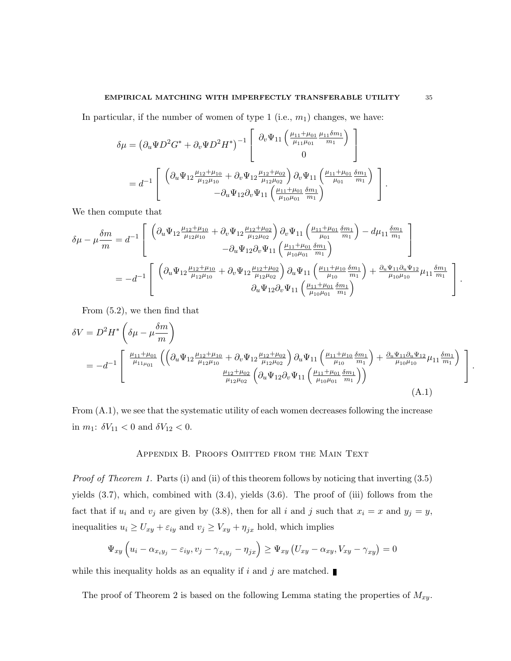In particular, if the number of women of type 1 (i.e.,  $m_1$ ) changes, we have:

$$
\delta\mu = (\partial_u \Psi D^2 G^* + \partial_v \Psi D^2 H^*)^{-1} \begin{bmatrix} \partial_v \Psi_{11} \left( \frac{\mu_{11} + \mu_{01}}{\mu_{11}\mu_{01}} \frac{\mu_{11} \delta m_1}{m_1} \right) \\ 0 \end{bmatrix}
$$
  
=  $d^{-1} \begin{bmatrix} \left( \partial_u \Psi_{12} \frac{\mu_{12} + \mu_{10}}{\mu_{12}\mu_{10}} + \partial_v \Psi_{12} \frac{\mu_{12} + \mu_{02}}{\mu_{12}\mu_{02}} \right) \partial_v \Psi_{11} \left( \frac{\mu_{11} + \mu_{01}}{\mu_{01}} \frac{\delta m_1}{m_1} \right) \\ -\partial_u \Psi_{12} \partial_v \Psi_{11} \left( \frac{\mu_{11} + \mu_{01}}{\mu_{10}\mu_{01}} \frac{\delta m_1}{m_1} \right) \end{bmatrix}.$ 

We then compute that

$$
\delta\mu - \mu \frac{\delta m}{m} = d^{-1} \left[ \begin{array}{c} \left( \partial_u \Psi_{12} \frac{\mu_{12} + \mu_{10}}{\mu_{12}\mu_{10}} + \partial_v \Psi_{12} \frac{\mu_{12} + \mu_{02}}{\mu_{12}\mu_{02}} \right) \partial_v \Psi_{11} \left( \frac{\mu_{11} + \mu_{01}}{\mu_{01}} \frac{\delta m_1}{m_1} \right) - d\mu_{11} \frac{\delta m_1}{m_1} \\ - \partial_u \Psi_{12} \partial_v \Psi_{11} \left( \frac{\mu_{11} + \mu_{01}}{\mu_{10}\mu_{01}} \frac{\delta m_1}{m_1} \right) \end{array} \right] \n= -d^{-1} \left[ \begin{array}{c} \left( \partial_u \Psi_{12} \frac{\mu_{12} + \mu_{10}}{\mu_{12}\mu_{10}} + \partial_v \Psi_{12} \frac{\mu_{12} + \mu_{02}}{\mu_{12}\mu_{02}} \right) \partial_u \Psi_{11} \left( \frac{\mu_{11} + \mu_{10}}{\mu_{10}} \frac{\delta m_1}{m_1} \right) + \frac{\partial_u \Psi_{11} \partial_u \Psi_{12}}{\mu_{10}\mu_{10}} \mu_{11} \frac{\delta m_1}{m_1} \\ \partial_u \Psi_{12} \partial_v \Psi_{11} \left( \frac{\mu_{11} + \mu_{01}}{\mu_{10}\mu_{01}} \frac{\delta m_1}{m_1} \right) \end{array} \right].
$$

From (5.2), we then find that

$$
\delta V = D^{2} H^{*} \left( \delta \mu - \mu \frac{\delta m}{m} \right)
$$
  
=  $-d^{-1} \begin{bmatrix} \frac{\mu_{11} + \mu_{01}}{\mu_{11\mu_{01}}} \left( \left( \partial_{u} \Psi_{12} \frac{\mu_{12} + \mu_{10}}{\mu_{12}\mu_{10}} + \partial_{v} \Psi_{12} \frac{\mu_{12} + \mu_{02}}{\mu_{12}\mu_{02}} \right) \partial_{u} \Psi_{11} \left( \frac{\mu_{11} + \mu_{10}}{\mu_{10}} \frac{\delta m_{1}}{m_{1}} \right) + \frac{\partial_{u} \Psi_{11} \partial_{u} \Psi_{12}}{\mu_{10}\mu_{10}} \mu_{11} \frac{\delta m_{1}}{m_{1}} \right) \\ \frac{\mu_{12} + \mu_{02}}{\mu_{12}\mu_{02}} \left( \partial_{u} \Psi_{12} \partial_{v} \Psi_{11} \left( \frac{\mu_{11} + \mu_{01}}{\mu_{10}\mu_{01}} \frac{\delta m_{1}}{m_{1}} \right) \right) \end{bmatrix} .$  (A.1)

From (A.1), we see that the systematic utility of each women decreases following the increase in  $m_1$ :  $\delta V_{11} < 0$  and  $\delta V_{12} < 0$ .

## Appendix B. Proofs Omitted from the Main Text

Proof of Theorem 1. Parts (i) and (ii) of this theorem follows by noticing that inverting (3.5) yields (3.7), which, combined with (3.4), yields (3.6). The proof of (iii) follows from the fact that if  $u_i$  and  $v_j$  are given by (3.8), then for all i and j such that  $x_i = x$  and  $y_j = y$ , inequalities  $u_i \ge U_{xy} + \varepsilon_{iy}$  and  $v_j \ge V_{xy} + \eta_{jx}$  hold, which implies

$$
\Psi_{xy}\left(u_i - \alpha_{x_iy_j} - \varepsilon_{iy}, v_j - \gamma_{x_iy_j} - \eta_{jx}\right) \ge \Psi_{xy}\left(U_{xy} - \alpha_{xy}, V_{xy} - \gamma_{xy}\right) = 0
$$

while this inequality holds as an equality if i and j are matched.

The proof of Theorem 2 is based on the following Lemma stating the properties of  $M_{xy}$ .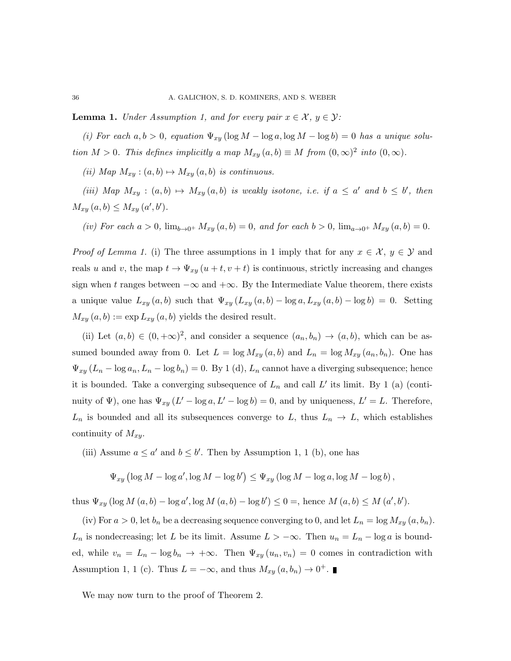**Lemma 1.** Under Assumption 1, and for every pair  $x \in \mathcal{X}$ ,  $y \in \mathcal{Y}$ :

(i) For each  $a, b > 0$ , equation  $\Psi_{xy}$  (log  $M - \log a$ , log  $M - \log b$ ) = 0 has a unique solution  $M > 0$ . This defines implicitly a map  $M_{xy}(a, b) \equiv M$  from  $(0, \infty)^2$  into  $(0, \infty)$ .

(ii) Map  $M_{xy}$  :  $(a, b) \mapsto M_{xy} (a, b)$  is continuous.

(iii) Map  $M_{xy}$ :  $(a, b) \mapsto M_{xy} (a, b)$  is weakly isotone, i.e. if  $a \le a'$  and  $b \le b'$ , then  $M_{xy}(a, b) \leq M_{xy}(a', b').$ 

(iv) For each  $a > 0$ ,  $\lim_{b \to 0^+} M_{xy}(a, b) = 0$ , and for each  $b > 0$ ,  $\lim_{a \to 0^+} M_{xy}(a, b) = 0$ .

*Proof of Lemma 1.* (i) The three assumptions in 1 imply that for any  $x \in \mathcal{X}$ ,  $y \in \mathcal{Y}$  and reals u and v, the map  $t \to \Psi_{xy}(u+t, v+t)$  is continuous, strictly increasing and changes sign when t ranges between  $-\infty$  and  $+\infty$ . By the Intermediate Value theorem, there exists a unique value  $L_{xy}(a, b)$  such that  $\Psi_{xy}(L_{xy}(a, b) - \log a, L_{xy}(a, b) - \log b) = 0$ . Setting  $M_{xy}(a, b) := \exp L_{xy}(a, b)$  yields the desired result.

(ii) Let  $(a, b) \in (0, +\infty)^2$ , and consider a sequence  $(a_n, b_n) \to (a, b)$ , which can be assumed bounded away from 0. Let  $L = \log M_{xy}(a, b)$  and  $L_n = \log M_{xy}(a_n, b_n)$ . One has  $\Psi_{xy}(L_n - \log a_n, L_n - \log b_n) = 0$ . By 1 (d),  $L_n$  cannot have a diverging subsequence; hence it is bounded. Take a converging subsequence of  $L_n$  and call  $L'$  its limit. By 1 (a) (continuity of  $\Psi$ ), one has  $\Psi_{xy}(L'-\log a, L'-\log b) = 0$ , and by uniqueness,  $L'=L$ . Therefore,  $L_n$  is bounded and all its subsequences converge to L, thus  $L_n \to L$ , which establishes continuity of  $M_{xy}$ .

(iii) Assume  $a \le a'$  and  $b \le b'$ . Then by Assumption 1, 1 (b), one has

$$
\Psi_{xy} (\log M - \log a', \log M - \log b') \leq \Psi_{xy} (\log M - \log a, \log M - \log b),
$$

thus  $\Psi_{xy} (\log M(a, b) - \log a', \log M(a, b) - \log b') \leq 0 =$ , hence  $M(a, b) \leq M(a', b')$ .

(iv) For  $a > 0$ , let  $b_n$  be a decreasing sequence converging to 0, and let  $L_n = \log M_{xy}(a, b_n)$ .  $L_n$  is nondecreasing; let L be its limit. Assume  $L > -\infty$ . Then  $u_n = L_n - \log a$  is bounded, while  $v_n = L_n - \log b_n \to +\infty$ . Then  $\Psi_{xy}(u_n, v_n) = 0$  comes in contradiction with Assumption 1, 1 (c). Thus  $L = -\infty$ , and thus  $M_{xy}(a, b_n) \to 0^+$ .

We may now turn to the proof of Theorem 2.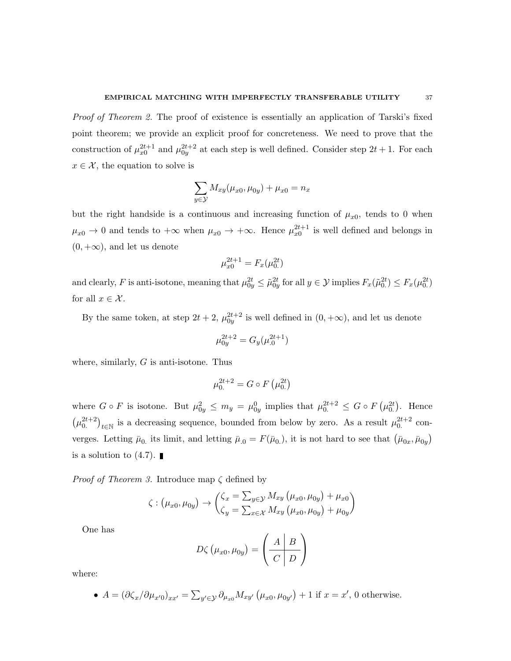Proof of Theorem 2. The proof of existence is essentially an application of Tarski's fixed point theorem; we provide an explicit proof for concreteness. We need to prove that the construction of  $\mu_{x0}^{2t+1}$  and  $\mu_{0y}^{2t+2}$  at each step is well defined. Consider step  $2t + 1$ . For each  $x \in \mathcal{X}$ , the equation to solve is

$$
\sum_{y \in \mathcal{Y}} M_{xy}(\mu_{x0}, \mu_{0y}) + \mu_{x0} = n_x
$$

but the right handside is a continuous and increasing function of  $\mu_{x0}$ , tends to 0 when  $\mu_{x0} \to 0$  and tends to  $+\infty$  when  $\mu_{x0} \to +\infty$ . Hence  $\mu_{x0}^{2t+1}$  is well defined and belongs in  $(0, +\infty)$ , and let us denote

$$
\mu_{x0}^{2t+1} = F_x(\mu_{0.}^{2t})
$$

and clearly, F is anti-isotone, meaning that  $\mu_{0y}^{2t} \leq \tilde{\mu}_{0y}^{2t}$  for all  $y \in \mathcal{Y}$  implies  $F_x(\tilde{\mu}_{0.}^{2t}) \leq F_x(\mu_{0.}^{2t})$ for all  $x \in \mathcal{X}$ .

By the same token, at step  $2t + 2$ ,  $\mu_{0y}^{2t+2}$  is well defined in  $(0, +\infty)$ , and let us denote

$$
\mu_{0y}^{2t+2} = G_y(\mu_{.0}^{2t+1})
$$

where, similarly,  $G$  is anti-isotone. Thus

$$
\mu_0^{2t+2} = G \circ F(\mu_{0}^{2t})
$$

where  $G \circ F$  is isotone. But  $\mu_{0y}^2 \leq m_y = \mu_{0y}^0$  implies that  $\mu_{0}^{2t+2} \leq G \circ F(\mu_{0}^{2t})$ . Hence  $(\mu_0^{2t+2})_{t\in\mathbb{N}}$  is a decreasing sequence, bounded from below by zero. As a result  $\mu_0^{2t+2}$  converges. Letting  $\bar{\mu}_0$  its limit, and letting  $\bar{\mu}_0 = F(\bar{\mu}_0)$ , it is not hard to see that  $(\bar{\mu}_{0x}, \bar{\mu}_{0y})$ is a solution to  $(4.7)$ .

*Proof of Theorem 3.* Introduce map  $\zeta$  defined by

$$
\zeta : (\mu_{x0}, \mu_{0y}) \rightarrow \begin{pmatrix} \zeta_x = \sum_{y \in \mathcal{Y}} M_{xy} (\mu_{x0}, \mu_{0y}) + \mu_{x0} \\ \zeta_y = \sum_{x \in \mathcal{X}} M_{xy} (\mu_{x0}, \mu_{0y}) + \mu_{0y} \end{pmatrix}
$$

One has

$$
D\zeta\left(\mu_{x0}, \mu_{0y}\right) = \left(\begin{array}{c|c} A & B \\ \hline C & D \end{array}\right)
$$

where:

• 
$$
A = (\partial \zeta_x / \partial \mu_{x'0})_{xx'} = \sum_{y' \in \mathcal{Y}} \partial_{\mu_{x0}} M_{xy'} (\mu_{x0}, \mu_{0y'}) + 1
$$
 if  $x = x'$ , 0 otherwise.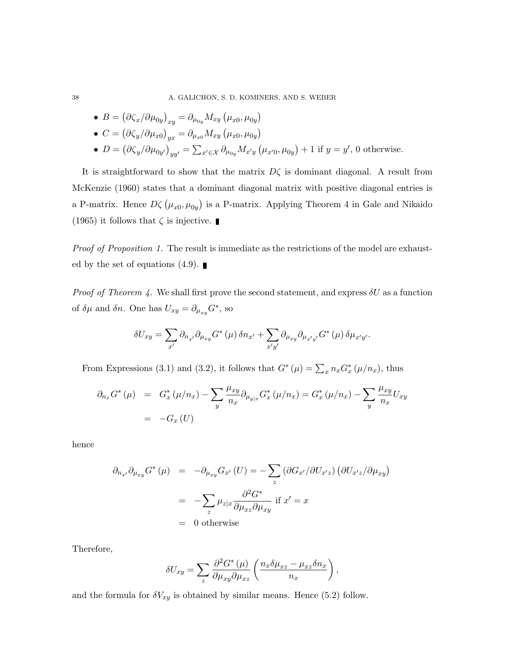38 A. GALICHON, S. D. KOMINERS, AND S. WEBER

\n- \n
$$
B = \left( \partial \zeta_x / \partial \mu_{0y} \right)_{xy} = \partial_{\mu_{0y}} M_{xy} \left( \mu_{x0}, \mu_{0y} \right)
$$
\n
\n- \n
$$
C = \left( \partial \zeta_y / \partial \mu_{x0} \right)_{yx} = \partial_{\mu_{x0}} M_{xy} \left( \mu_{x0}, \mu_{0y} \right)
$$
\n
\n- \n
$$
D = \left( \partial \zeta_y / \partial \mu_{0y'} \right)_{yy'} = \sum_{x' \in \mathcal{X}} \partial_{\mu_{0y}} M_{x'y} \left( \mu_{x'0}, \mu_{0y} \right) + 1 \text{ if } y = y', \text{ 0 otherwise.}
$$
\n
\n

It is straightforward to show that the matrix  $D\zeta$  is dominant diagonal. A result from McKenzie (1960) states that a dominant diagonal matrix with positive diagonal entries is a P-matrix. Hence  $D\zeta(\mu_{x0}, \mu_{0y})$  is a P-matrix. Applying Theorem 4 in Gale and Nikaido (1965) it follows that  $\zeta$  is injective.

Proof of Proposition 1. The result is immediate as the restrictions of the model are exhausted by the set of equations  $(4.9)$ .

*Proof of Theorem 4.* We shall first prove the second statement, and express  $\delta U$  as a function of  $\delta \mu$  and  $\delta n$ . One has  $U_{xy} = \partial_{\mu_{xy}} G^*$ , so

$$
\delta U_{xy} = \sum_{x'} \partial_{n_{x'}} \partial_{\mu_{xy}} G^* (\mu) \, \delta n_{x'} + \sum_{x'y'} \partial_{\mu_{xy}} \partial_{\mu_{x'y'}} G^* (\mu) \, \delta \mu_{x'y'}.
$$

From Expressions (3.1) and (3.2), it follows that  $G^*(\mu) = \sum_x n_x G_x^*(\mu/n_x)$ , thus

$$
\partial_{n_x} G^* (\mu) = G_x^* (\mu/n_x) - \sum_y \frac{\mu_{xy}}{n_x} \partial_{\mu_{y|x}} G_x^* (\mu/n_x) = G_x^* (\mu/n_x) - \sum_y \frac{\mu_{xy}}{n_x} U_{xy}
$$
  
= -G\_x (U)

hence

$$
\partial_{n_{x'}} \partial_{\mu_{xy}} G^* (\mu) = - \partial_{\mu_{xy}} G_{x'} (U) = - \sum_z \left( \frac{\partial G_{x'}}{\partial U_{x'z}} \right) \left( \frac{\partial U_{x'z}}{\partial \mu_{xy}} \right)
$$

$$
= - \sum_z \mu_{z|x} \frac{\partial^2 G^*}{\partial \mu_{xz} \partial \mu_{xy}} \text{ if } x' = x
$$

$$
= 0 \text{ otherwise}
$$

Therefore,

$$
\delta U_{xy} = \sum_{z} \frac{\partial^2 G^*(\mu)}{\partial \mu_{xy} \partial \mu_{xz}} \left( \frac{n_x \delta \mu_{xz} - \mu_{xz} \delta n_x}{n_x} \right),
$$

and the formula for  $\delta V_{xy}$  is obtained by similar means. Hence (5.2) follow.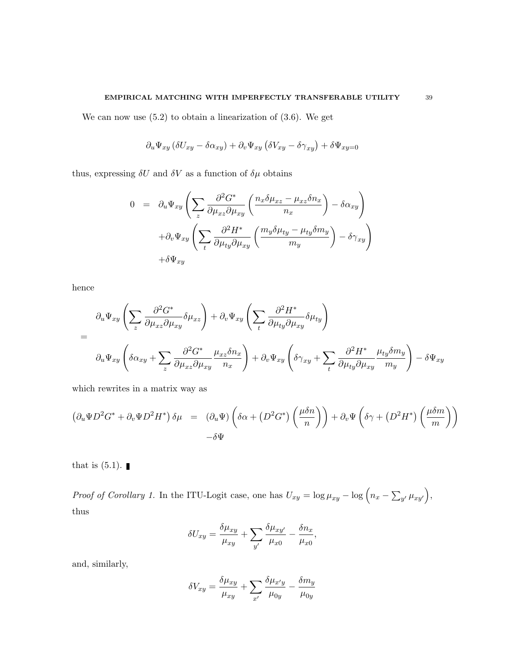We can now use  $(5.2)$  to obtain a linearization of  $(3.6)$ . We get

$$
\partial_u \Psi_{xy} (\delta U_{xy} - \delta \alpha_{xy}) + \partial_v \Psi_{xy} (\delta V_{xy} - \delta \gamma_{xy}) + \delta \Psi_{xy=0}
$$

thus, expressing  $\delta U$  and  $\delta V$  as a function of  $\delta \mu$  obtains

$$
0 = \partial_u \Psi_{xy} \left( \sum_z \frac{\partial^2 G^*}{\partial \mu_{xz} \partial \mu_{xy}} \left( \frac{n_x \delta \mu_{xz} - \mu_{xz} \delta n_x}{n_x} \right) - \delta \alpha_{xy} \right) + \partial_v \Psi_{xy} \left( \sum_t \frac{\partial^2 H^*}{\partial \mu_{ty} \partial \mu_{xy}} \left( \frac{m_y \delta \mu_{ty} - \mu_{ty} \delta m_y}{m_y} \right) - \delta \gamma_{xy} \right) + \delta \Psi_{xy}
$$

hence

$$
\partial_u \Psi_{xy} \left( \sum_z \frac{\partial^2 G^*}{\partial \mu_{xz} \partial \mu_{xy}} \delta \mu_{xz} \right) + \partial_v \Psi_{xy} \left( \sum_t \frac{\partial^2 H^*}{\partial \mu_{ty} \partial \mu_{xy}} \delta \mu_{ty} \right)
$$
  
=
$$
\partial_u \Psi_{xy} \left( \delta \alpha_{xy} + \sum_z \frac{\partial^2 G^*}{\partial \mu_{xz} \partial \mu_{xy}} \frac{\mu_{xz} \delta n_x}{n_x} \right) + \partial_v \Psi_{xy} \left( \delta \gamma_{xy} + \sum_t \frac{\partial^2 H^*}{\partial \mu_{ty} \partial \mu_{xy}} \frac{\mu_{ty} \delta m_y}{m_y} \right) - \delta \Psi_{xy}
$$

which rewrites in a matrix way as

$$
\left(\partial_u \Psi D^2 G^* + \partial_v \Psi D^2 H^*\right) \delta \mu = \left(\partial_u \Psi\right) \left(\delta \alpha + \left(D^2 G^*\right) \left(\frac{\mu \delta n}{n}\right)\right) + \partial_v \Psi \left(\delta \gamma + \left(D^2 H^*\right) \left(\frac{\mu \delta m}{m}\right)\right) - \delta \Psi
$$

that is  $(5.1)$ .

Proof of Corollary 1. In the ITU-Logit case, one has  $U_{xy} = \log \mu_{xy} - \log (n_x - \sum_{y'} \mu_{xy'})$ , thus

$$
\delta U_{xy} = \frac{\delta \mu_{xy}}{\mu_{xy}} + \sum_{y'} \frac{\delta \mu_{xy'}}{\mu_{x0}} - \frac{\delta n_x}{\mu_{x0}},
$$

and, similarly,

$$
\delta V_{xy} = \frac{\delta \mu_{xy}}{\mu_{xy}} + \sum_{x'} \frac{\delta \mu_{x'y}}{\mu_{0y}} - \frac{\delta m_y}{\mu_{0y}}
$$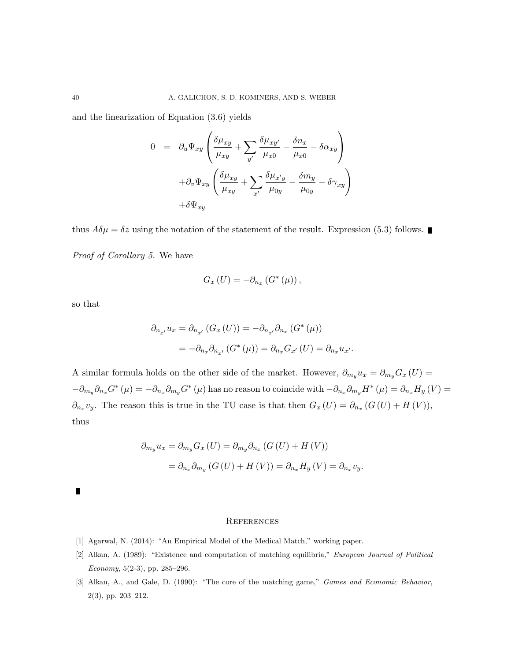and the linearization of Equation (3.6) yields

$$
0 = \partial_u \Psi_{xy} \left( \frac{\delta \mu_{xy}}{\mu_{xy}} + \sum_{y'} \frac{\delta \mu_{xy'}}{\mu_{x0}} - \frac{\delta n_x}{\mu_{x0}} - \delta \alpha_{xy} \right)
$$

$$
+ \partial_v \Psi_{xy} \left( \frac{\delta \mu_{xy}}{\mu_{xy}} + \sum_{x'} \frac{\delta \mu_{x'y}}{\mu_{0y}} - \frac{\delta m_y}{\mu_{0y}} - \delta \gamma_{xy} \right)
$$

$$
+ \delta \Psi_{xy}
$$

thus  $A\delta\mu = \delta z$  using the notation of the statement of the result. Expression (5.3) follows. Proof of Corollary 5. We have

$$
G_x\left( U\right) =-\partial _{n_x}\left( G^*\left( \mu \right) \right),
$$

so that

$$
\partial_{n_{x'}} u_x = \partial_{n_{x'}} (G_x (U)) = -\partial_{n_{x'}} \partial_{n_x} (G^* (\mu))
$$
  
= 
$$
-\partial_{n_x} \partial_{n_{x'}} (G^* (\mu)) = \partial_{n_x} G_{x'} (U) = \partial_{n_x} u_{x'}.
$$

A similar formula holds on the other side of the market. However,  $\partial_{m_y} u_x = \partial_{m_y} G_x (U) =$  $-\partial_{m_y}\partial_{n_x}G^*(\mu) = -\partial_{n_x}\partial_{m_y}G^*(\mu)$  has no reason to coincide with  $-\partial_{n_x}\partial_{m_y}H^*(\mu) = \partial_{n_x}H_y(V) =$  $\partial_{n_x} v_y$ . The reason this is true in the TU case is that then  $G_x(U) = \partial_{n_x}(G(U) + H(V))$ , thus

$$
\partial_{m_y} u_x = \partial_{m_y} G_x (U) = \partial_{m_y} \partial_{n_x} (G(U) + H(V))
$$

$$
= \partial_{n_x} \partial_{m_y} (G(U) + H(V)) = \partial_{n_x} H_y (V) = \partial_{n_x} v_y.
$$

 $\blacksquare$ 

#### **REFERENCES**

- [1] Agarwal, N. (2014): "An Empirical Model of the Medical Match," working paper.
- [2] Alkan, A. (1989): "Existence and computation of matching equilibria," European Journal of Political Economy, 5(2-3), pp. 285–296.
- [3] Alkan, A., and Gale, D. (1990): "The core of the matching game," Games and Economic Behavior, 2(3), pp. 203–212.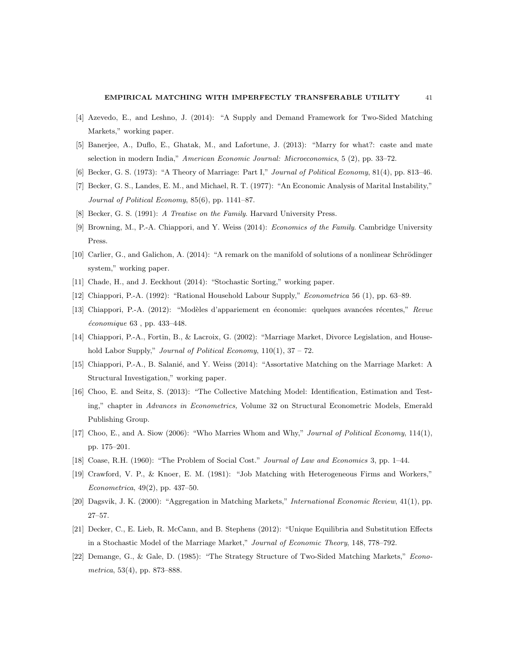- [4] Azevedo, E., and Leshno, J. (2014): "A Supply and Demand Framework for Two-Sided Matching Markets," working paper.
- [5] Banerjee, A., Duflo, E., Ghatak, M., and Lafortune, J. (2013): "Marry for what?: caste and mate selection in modern India," American Economic Journal: Microeconomics, 5 (2), pp. 33–72.
- [6] Becker, G. S. (1973): "A Theory of Marriage: Part I," Journal of Political Economy, 81(4), pp. 813–46.
- [7] Becker, G. S., Landes, E. M., and Michael, R. T. (1977): "An Economic Analysis of Marital Instability," Journal of Political Economy, 85(6), pp. 1141–87.
- [8] Becker, G. S. (1991): A Treatise on the Family. Harvard University Press.
- [9] Browning, M., P.-A. Chiappori, and Y. Weiss (2014): Economics of the Family. Cambridge University Press.
- [10] Carlier, G., and Galichon, A. (2014): "A remark on the manifold of solutions of a nonlinear Schrödinger system," working paper.
- [11] Chade, H., and J. Eeckhout (2014): "Stochastic Sorting," working paper.
- [12] Chiappori, P.-A. (1992): "Rational Household Labour Supply," Econometrica 56 (1), pp. 63–89.
- [13] Chiappori, P.-A. (2012): "Modèles d'appariement en économie: quelques avancées récentes," Revue  $économique 63$ , pp. 433-448.
- [14] Chiappori, P.-A., Fortin, B., & Lacroix, G. (2002): "Marriage Market, Divorce Legislation, and Household Labor Supply," *Journal of Political Economy*,  $110(1)$ ,  $37 - 72$ .
- [15] Chiappori, P.-A., B. Salanié, and Y. Weiss (2014): "Assortative Matching on the Marriage Market: A Structural Investigation," working paper.
- [16] Choo, E. and Seitz, S. (2013): "The Collective Matching Model: Identification, Estimation and Testing," chapter in Advances in Econometrics, Volume 32 on Structural Econometric Models, Emerald Publishing Group.
- [17] Choo, E., and A. Siow (2006): "Who Marries Whom and Why," Journal of Political Economy, 114(1), pp. 175–201.
- [18] Coase, R.H. (1960): "The Problem of Social Cost." Journal of Law and Economics 3, pp. 1–44.
- [19] Crawford, V. P., & Knoer, E. M. (1981): "Job Matching with Heterogeneous Firms and Workers," Econometrica, 49(2), pp. 437–50.
- [20] Dagsvik, J. K. (2000): "Aggregation in Matching Markets," International Economic Review, 41(1), pp. 27–57.
- [21] Decker, C., E. Lieb, R. McCann, and B. Stephens (2012): "Unique Equilibria and Substitution Effects in a Stochastic Model of the Marriage Market," Journal of Economic Theory, 148, 778–792.
- [22] Demange, G., & Gale, D. (1985): "The Strategy Structure of Two-Sided Matching Markets," Econometrica, 53(4), pp. 873–888.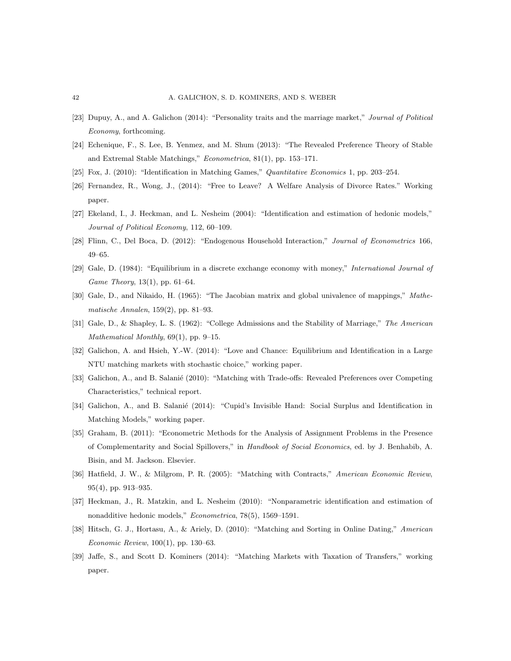- [23] Dupuy, A., and A. Galichon (2014): "Personality traits and the marriage market," Journal of Political Economy, forthcoming.
- [24] Echenique, F., S. Lee, B. Yenmez, and M. Shum (2013): "The Revealed Preference Theory of Stable and Extremal Stable Matchings," Econometrica, 81(1), pp. 153–171.
- [25] Fox, J. (2010): "Identification in Matching Games," Quantitative Economics 1, pp. 203–254.
- [26] Fernandez, R., Wong, J., (2014): "Free to Leave? A Welfare Analysis of Divorce Rates." Working paper.
- [27] Ekeland, I., J. Heckman, and L. Nesheim (2004): "Identification and estimation of hedonic models," Journal of Political Economy, 112, 60–109.
- [28] Flinn, C., Del Boca, D. (2012): "Endogenous Household Interaction," Journal of Econometrics 166, 49–65.
- [29] Gale, D. (1984): "Equilibrium in a discrete exchange economy with money," International Journal of Game Theory, 13(1), pp. 61–64.
- [30] Gale, D., and Nikaido, H. (1965): "The Jacobian matrix and global univalence of mappings," Mathematische Annalen, 159(2), pp. 81–93.
- [31] Gale, D., & Shapley, L. S. (1962): "College Admissions and the Stability of Marriage," The American Mathematical Monthly, 69(1), pp. 9–15.
- [32] Galichon, A. and Hsieh, Y.-W. (2014): "Love and Chance: Equilibrium and Identification in a Large NTU matching markets with stochastic choice," working paper.
- [33] Galichon, A., and B. Salanié (2010): "Matching with Trade-offs: Revealed Preferences over Competing Characteristics," technical report.
- [34] Galichon, A., and B. Salanié (2014): "Cupid's Invisible Hand: Social Surplus and Identification in Matching Models," working paper.
- [35] Graham, B. (2011): "Econometric Methods for the Analysis of Assignment Problems in the Presence of Complementarity and Social Spillovers," in Handbook of Social Economics, ed. by J. Benhabib, A. Bisin, and M. Jackson. Elsevier.
- [36] Hatfield, J. W., & Milgrom, P. R. (2005): "Matching with Contracts," American Economic Review, 95(4), pp. 913–935.
- [37] Heckman, J., R. Matzkin, and L. Nesheim (2010): "Nonparametric identification and estimation of nonadditive hedonic models," Econometrica, 78(5), 1569–1591.
- [38] Hitsch, G. J., Hortasu, A., & Ariely, D. (2010): "Matching and Sorting in Online Dating," American Economic Review, 100(1), pp. 130–63.
- [39] Jaffe, S., and Scott D. Kominers (2014): "Matching Markets with Taxation of Transfers," working paper.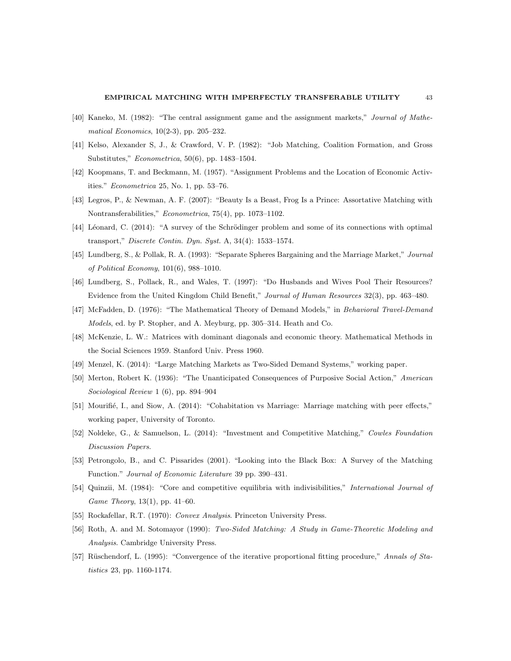- [40] Kaneko, M. (1982): "The central assignment game and the assignment markets," Journal of Mathematical Economics, 10(2-3), pp. 205–232.
- [41] Kelso, Alexander S, J., & Crawford, V. P. (1982): "Job Matching, Coalition Formation, and Gross Substitutes," Econometrica, 50(6), pp. 1483–1504.
- [42] Koopmans, T. and Beckmann, M. (1957). "Assignment Problems and the Location of Economic Activities." Econometrica 25, No. 1, pp. 53–76.
- [43] Legros, P., & Newman, A. F. (2007): "Beauty Is a Beast, Frog Is a Prince: Assortative Matching with Nontransferabilities," Econometrica, 75(4), pp. 1073–1102.
- [44] Léonard, C. (2014): "A survey of the Schrödinger problem and some of its connections with optimal transport," Discrete Contin. Dyn. Syst. A, 34(4): 1533–1574.
- [45] Lundberg, S., & Pollak, R. A. (1993): "Separate Spheres Bargaining and the Marriage Market," Journal of Political Economy, 101(6), 988–1010.
- [46] Lundberg, S., Pollack, R., and Wales, T. (1997): "Do Husbands and Wives Pool Their Resources? Evidence from the United Kingdom Child Benefit," Journal of Human Resources 32(3), pp. 463–480.
- [47] McFadden, D. (1976): "The Mathematical Theory of Demand Models," in Behavioral Travel-Demand Models, ed. by P. Stopher, and A. Meyburg, pp. 305–314. Heath and Co.
- [48] McKenzie, L. W.: Matrices with dominant diagonals and economic theory. Mathematical Methods in the Social Sciences 1959. Stanford Univ. Press 1960.
- [49] Menzel, K. (2014): "Large Matching Markets as Two-Sided Demand Systems," working paper.
- [50] Merton, Robert K. (1936): "The Unanticipated Consequences of Purposive Social Action," American Sociological Review 1 (6), pp. 894–904
- [51] Mourifié, I., and Siow, A. (2014): "Cohabitation vs Marriage: Marriage matching with peer effects," working paper, University of Toronto.
- [52] Noldeke, G., & Samuelson, L. (2014): "Investment and Competitive Matching," Cowles Foundation Discussion Papers.
- [53] Petrongolo, B., and C. Pissarides (2001). "Looking into the Black Box: A Survey of the Matching Function." Journal of Economic Literature 39 pp. 390–431.
- [54] Quinzii, M. (1984): "Core and competitive equilibria with indivisibilities," International Journal of Game Theory, 13(1), pp. 41–60.
- [55] Rockafellar, R.T. (1970): Convex Analysis. Princeton University Press.
- [56] Roth, A. and M. Sotomayor (1990): Two-Sided Matching: A Study in Game-Theoretic Modeling and Analysis. Cambridge University Press.
- [57] Rüschendorf, L. (1995): "Convergence of the iterative proportional fitting procedure," Annals of Statistics 23, pp. 1160-1174.